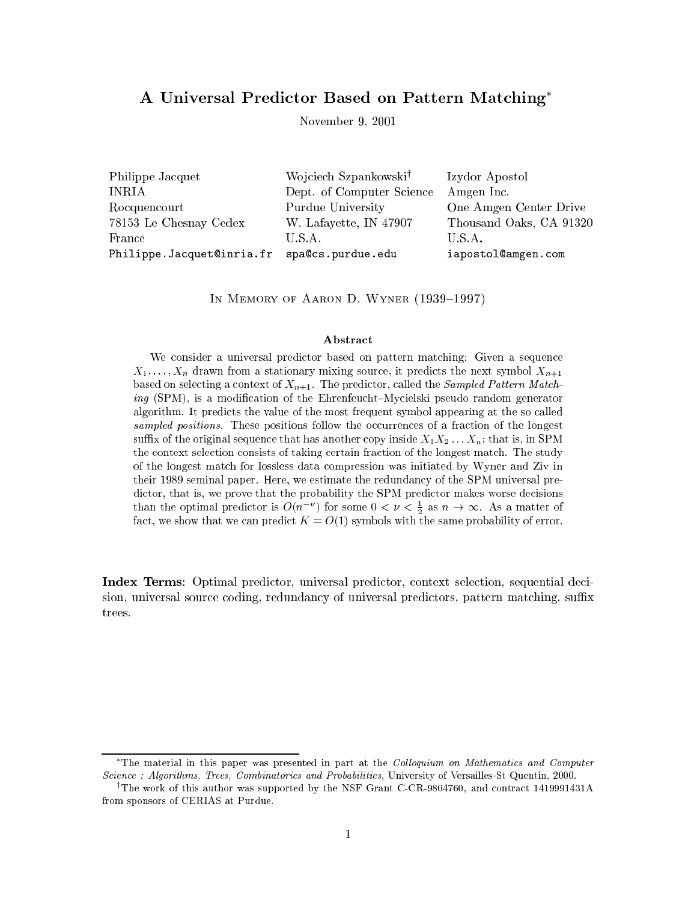# A Universal Predictor Based on Pattern Matching\*

November 9, 2001

Philippe Jacquet Wojciech Szpankowski<sup>†</sup> Izydor Apostol **INRIA** Dept. of Computer Science Amgen Inc. One Amgen Center Drive Rocquencourt Purdue University 78153 Le Chesnay Cedex W. Lafayette, IN 47907 Thousand Oaks, CA 91320 U.S.A. France U.S.A. Philippe. Jacquet@inria.fr spa@cs.purdue.edu iapostol@amgen.com

IN MEMORY OF AARON D. WYNER (1939-1997)

#### Abstract

We consider a universal predictor based on pattern matching: Given a sequence  $X_1, \ldots, X_n$  drawn from a stationary mixing source, it predicts the next symbol  $X_{n+1}$ based on selecting a context of  $X_{n+1}$ . The predictor, called the *Sampled Pattern Match*ing (SPM), is a modification of the Ehrenfeucht–Mycielski pseudo random generator algorithm. It predicts the value of the most frequent symbol appearing at the so called sampled positions. These positions follow the occurrences of a fraction of the longest suffix of the original sequence that has another copy inside  $X_1 X_2 \ldots X_n$ ; that is, in SPM the context selection consists of taking certain fraction of the longest match. The study of the longest match for lossless data compression was initiated by Wyner and Ziv in their 1989 seminal paper. Here, we estimate the redundancy of the SPM universal predictor, that is, we prove that the probability the SPM predictor makes worse decisions than the optimal predictor is  $O(n^{-\nu})$  for some  $0 < \nu < \frac{1}{2}$  as  $n \to \infty$ . As a matter of fact, we show that we can predict  $K = O(1)$  symbols with the same probability of error.

**Index Terms:** Optimal predictor, universal predictor, context selection, sequential decision, universal source coding, redundancy of universal predictors, pattern matching, suffix trees.

<sup>\*</sup>The material in this paper was presented in part at the Colloquium on Mathematics and Computer Science: Algorithms, Trees, Combinatorics and Probabilities, University of Versailles-St Quentin, 2000.

<sup>&</sup>lt;sup>†</sup>The work of this author was supported by the NSF Grant C-CR-9804760, and contract 1419991431A from sponsors of CERIAS at Purdue.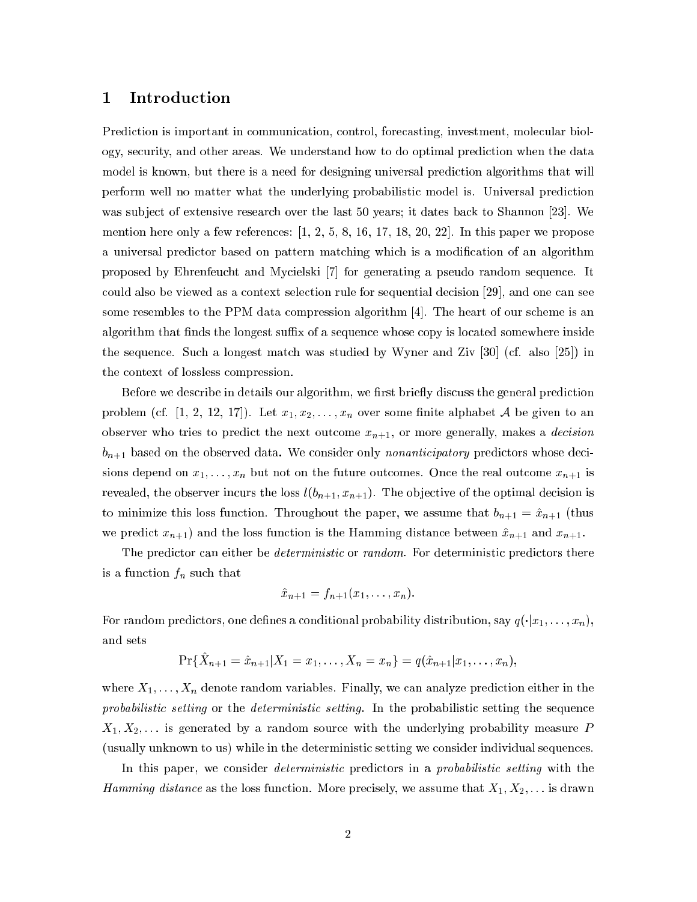# 1 Introduction

Prediction is important in communication, control, forecasting, investment, molecular biology, se
urity, and other areas. We understand how to do optimal predi
tion when the data model is known, but there is a need for designing universal prediction algorithms that will perform well no matter what the underlying probabilisti model is. Universal predi
tion was subject of extensive research over the last 50 years; it dates back to Shannon [23]. We mention here only a few references:  $\left[1, 2, 5, 8, 16, 17, 18, 20, 22\right]$ . In this paper we propose a universal predictor based on pattern matching which is a modification of an algorithm proposed by Ehrenfeucht and Mycielski [7] for generating a pseudo random sequence. It could also be viewed as a context selection rule for sequential decision [29], and one can see some resembles to the PPM data compression algorithm  $[4]$ . The heart of our scheme is an algorithm that finds the longest suffix of a sequence whose copy is located somewhere inside the sequence. Such a longest match was studied by Wyner and Ziv  $|30|$  (cf. also  $|25|$ ) in the ontext of lossless ompression.

Before we describe in details our algorithm, we first briefly discuss the general prediction problem (cf. [1, 2, 12, 17]). Let  $x_1, x_2, \ldots, x_n$  over some finite alphabet A be given to an observer who tries to predict the next outcome  $x_{n+1}$ , or more generally, makes a *decision*  $b_{n+1}$  based on the observed data. We consider only nonanticipatory predictors whose decisions depend on  $x_1, \ldots, x_n$  but not on the future outcomes. Once the real outcome  $x_{n+1}$  is revealed, the observer incurs the loss  $l(b_{n+1}, x_{n+1})$ . The objective of the optimal decision is to minimize this loss function. Throughout the paper, we assume that  $b_{n+1} = \hat{x}_{n+1}$  (thus we predict  $x_{n+1}$  and the loss function is the Hamming distance between  $\hat{x}_{n+1}$  and  $x_{n+1}$ .

The predictor can either be *deterministic* or *random*. For deterministic predictors there is a function  $f_n$  such that

$$
\hat{x}_{n+1} = f_{n+1}(x_1, \ldots, x_n).
$$

For random predictors, one defines a conditional probability distribution, say  $q(\cdot|x_1,\ldots,x_n),$ and sets

$$
\Pr\{\hat{X}_{n+1} = \hat{x}_{n+1}|X_1 = x_1,\ldots,X_n = x_n\} = q(\hat{x}_{n+1}|x_1,\ldots,x_n),
$$

where  $X_1, \ldots, X_n$  denote random variables. Finally, we can analyze prediction either in the probabilistic setting or the *deterministic setting*. In the probabilistic setting the sequence  $X_1, X_2, \ldots$  is generated by a random source with the underlying probability measure P (usually unknown to us) while in the deterministic setting we consider individual sequences.

In this paper, we consider *deterministic* predictors in a *probabilistic setting* with the *Hamming distance* as the loss function. More precisely, we assume that  $X_1, X_2, \ldots$  is drawn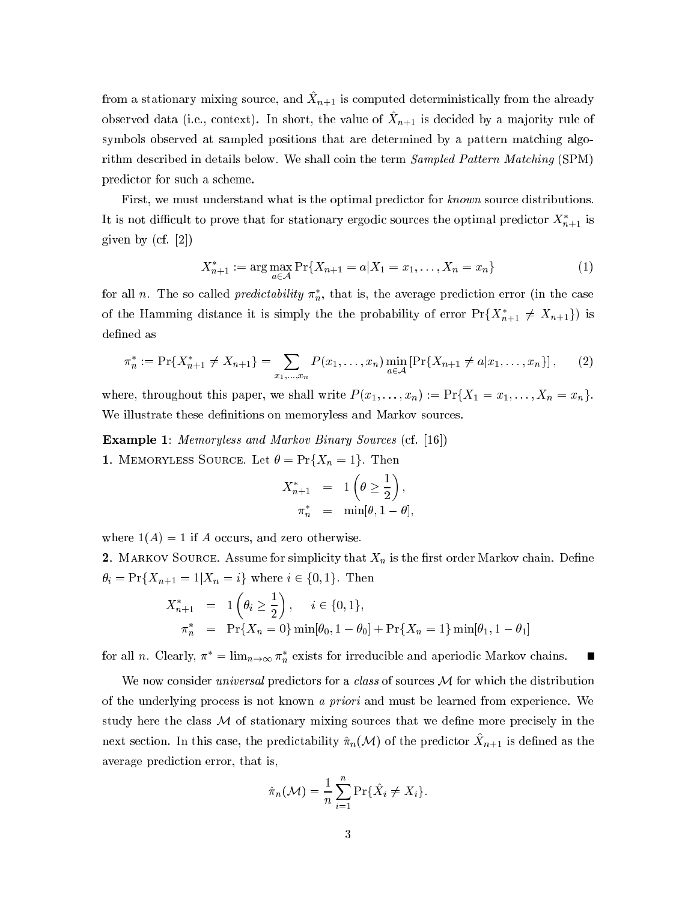from a stationary mixing source, and  $X_{n+1}$  is computed deterministically from the already observed data (i.e., context). In short, the value of  $\hat{X}_{n+1}$  is decided by a majority rule of symbols observed at sampled positions that are determined by a pattern matching algorithm described in details below. We shall coin the term *Sampled Pattern Matching* (SPM) predictor for such a scheme.

First, we must understand what is the optimal predictor for known source distributions. It is not difficult to prove that for stationary ergodic sources the optimal predictor  $X_{n+1}^*$  is given by  $(cf. [2])$ 

$$
X_{n+1}^* := \arg\max_{a \in \mathcal{A}} \Pr\{X_{n+1} = a | X_1 = x_1, \dots, X_n = x_n\} \tag{1}
$$

for all n. The so called *predictability*  $\pi_n^*$ , that is, the average prediction error (in the case of the Hamming distance it is simply the the probability of error  $Pr{X_{n+1}^* \neq X_{n+1}}$  is defined as

$$
\pi_n^* := \Pr\{X_{n+1}^* \neq X_{n+1}\} = \sum_{x_1,\dots,x_n} P(x_1,\dots,x_n) \min_{a \in \mathcal{A}} \left[ \Pr\{X_{n+1} \neq a | x_1,\dots,x_n\} \right],\tag{2}
$$

where, throughout this paper, we shall write  $P(x_1,...,x_n) := Pr\{X_1 = x_1,..., X_n = x_n\}.$ We illustrate these definitions on memoryless and Markov sources.

**Example 1:** Memoryless and Markov Binary Sources (cf. [16]) **1.** MEMORYLESS SOURCE. Let  $\theta = \Pr\{X_n = 1\}$ . Then

$$
X_{n+1}^* = 1\left(\theta \ge \frac{1}{2}\right),
$$
  

$$
\pi_n^* = \min[\theta, 1-\theta],
$$

where  $1(A) = 1$  if A occurs, and zero otherwise.

2. MARKOV SOURCE. Assume for simplicity that  $X_n$  is the first order Markov chain. Define  $\theta_i = \Pr\{X_{n+1} = 1 | X_n = i\}$  where  $i \in \{0, 1\}$ . Then

$$
X_{n+1}^* = 1\left(\theta_i \ge \frac{1}{2}\right), \quad i \in \{0, 1\},
$$
  

$$
\pi_n^* = \Pr\{X_n = 0\} \min[\theta_0, 1 - \theta_0] + \Pr\{X_n = 1\} \min[\theta_1, 1 - \theta_1]
$$

for all *n*. Clearly,  $\pi^* = \lim_{n \to \infty} \pi_n^*$  exists for irreducible and aperiodic Markov chains.

We now consider *universal* predictors for a *class* of sources  $M$  for which the distribution of the underlying process is not known a priori and must be learned from experience. We study here the class  $\mathcal M$  of stationary mixing sources that we define more precisely in the next section. In this case, the predictability  $\hat{\pi}_n(\mathcal{M})$  of the predictor  $\hat{X}_{n+1}$  is defined as the average prediction error, that is,

$$
\hat{\pi}_n(\mathcal{M}) = \frac{1}{n} \sum_{i=1}^n \Pr{\{\hat{X}_i \neq X_i\}}.
$$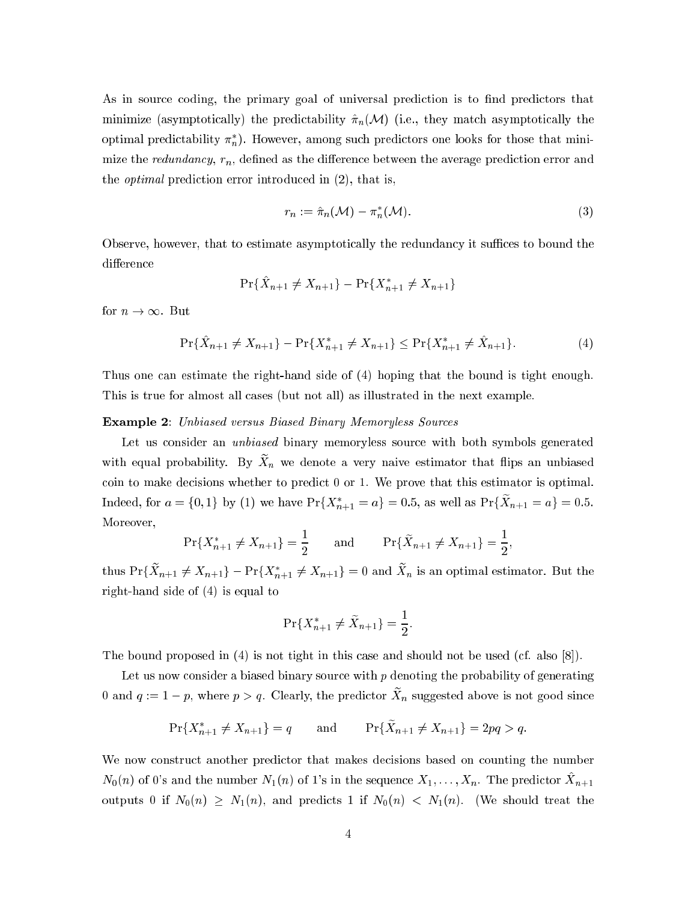As in source coding, the primary goal of universal prediction is to find predictors that minimize (asymptotically) the predictability  $\hat{\pi}_n(\mathcal{M})$  (i.e., they match asymptotically the optimal predictability  $\pi_n^*$ ). However, among such predictors one looks for those that minimize the redundancy,  $r_n$ , defined as the difference between the average prediction error and the *optimal* prediction error introduced in (2), that is,

$$
r_n := \hat{\pi}_n(\mathcal{M}) - \pi_n^*(\mathcal{M}). \tag{3}
$$

Observe, however, that to estimate asymptotically the redundancy it suffices to bound the difference

$$
\Pr\{\hat{X}_{n+1} \neq X_{n+1}\} - \Pr\{X_{n+1}^* \neq X_{n+1}\}\
$$

for  $n \to \infty$ . But

$$
\Pr\{\hat{X}_{n+1} \neq X_{n+1}\} - \Pr\{X_{n+1}^* \neq X_{n+1}\} \leq \Pr\{X_{n+1}^* \neq \hat{X}_{n+1}\}.
$$
 (4)

Thus one can estimate the right-hand side of (4) hoping that the bound is tight enough. This is true for almost all cases (but not all) as illustrated in the next example.

#### **Example 2:** Unbiased versus Biased Binary Memoryless Sources

Let us consider an *unbiased* binary memoryless source with both symbols generated with equal probability. By  $\tilde{X}_n$  we denote a very naive estimator that flips an unbiased coin to make decisions whether to predict 0 or 1. We prove that this estimator is optimal. Indeed, for  $a = \{0, 1\}$  by (1) we have  $Pr\{X_{n+1}^* = a\} = 0.5$ , as well as  $Pr\{\tilde{X}_{n+1} = a\} = 0.5$ . Moreover,

$$
\Pr\{X_{n+1}^* \neq X_{n+1}\} = \frac{1}{2} \quad \text{and} \quad \Pr\{\tilde{X}_{n+1} \neq X_{n+1}\} = \frac{1}{2},
$$

thus  $Pr{\{\tilde{X}_{n+1} \neq X_{n+1}\}} - Pr{\{X_{n+1}^* \neq X_{n+1}\}} = 0$  and  $\tilde{X}_n$  is an optimal estimator. But the right-hand side of  $(4)$  is equal to

$$
\Pr\{X_{n+1}^* \neq \tilde{X}_{n+1}\} = \frac{1}{2}.
$$

The bound proposed in  $(4)$  is not tight in this case and should not be used (cf. also [8]).

Let us now consider a biased binary source with  $p$  denoting the probability of generating 0 and  $q := 1 - p$ , where  $p > q$ . Clearly, the predictor  $\tilde{X}_n$  suggested above is not good since

$$
\Pr\{X_{n+1}^* \neq X_{n+1}\} = q \quad \text{and} \quad \Pr\{\tilde{X}_{n+1} \neq X_{n+1}\} = 2pq > q.
$$

We now construct another predictor that makes decisions based on counting the number  $N_0(n)$  of 0's and the number  $N_1(n)$  of 1's in the sequence  $X_1, \ldots, X_n$ . The predictor  $\hat{X}_{n+1}$ outputs 0 if  $N_0(n) \geq N_1(n)$ , and predicts 1 if  $N_0(n) < N_1(n)$ . (We should treat the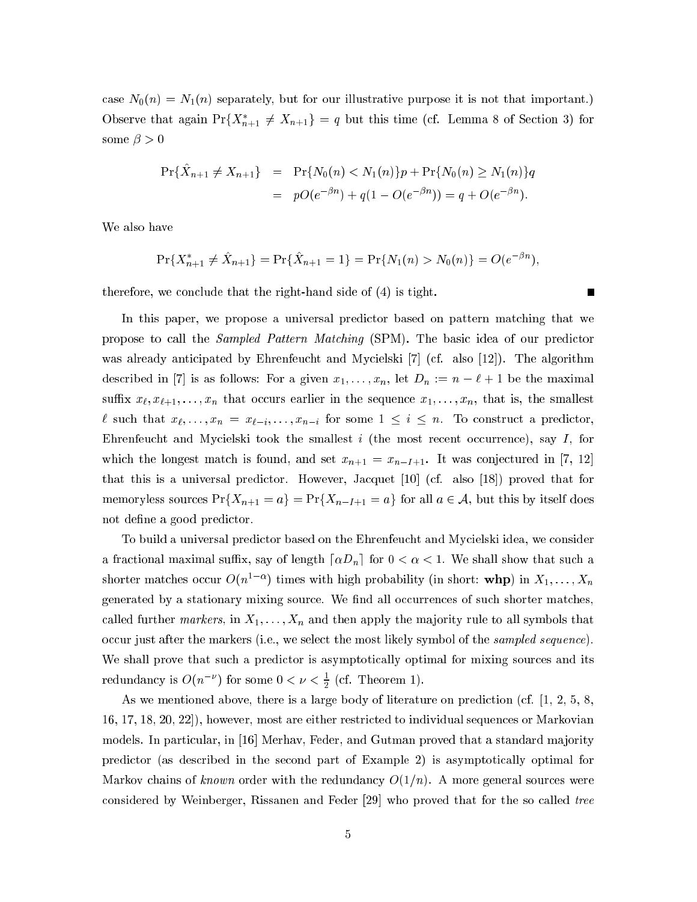case  $N_0(n) = N_1(n)$  separately, but for our illustrative purpose it is not that important.) Observe that again  $Pr{X_{n+1}^* \neq X_{n+1}} = q$  but this time (cf. Lemma 8 of Section 3) for some  $\beta > 0$ 

$$
\begin{aligned} \Pr\{\hat{X}_{n+1} \neq X_{n+1}\} &= \Pr\{N_0(n) < N_1(n)\}p + \Pr\{N_0(n) \geq N_1(n)\}q \\ &= pO(e^{-\beta n}) + q(1 - O(e^{-\beta n})) = q + O(e^{-\beta n}). \end{aligned}
$$

We also have

$$
\Pr\{X_{n+1}^* \neq \hat{X}_{n+1}\} = \Pr\{\hat{X}_{n+1} = 1\} = \Pr\{N_1(n) > N_0(n)\} = O(e^{-\beta n}),
$$

 $\blacksquare$ 

therefore, we conclude that the right-hand side of (4) is tight.

In this paper, we propose a universal predictor based on pattern matching that we propose to call the *Sampled Pattern Matching* (SPM). The basic idea of our predictor was already anticipated by Ehrenfeucht and Mycielski [7] (cf. also [12]). The algorithm described in [7] is as follows: For a given  $x_1, \ldots, x_n$ , let  $D_n := n - \ell + 1$  be the maximal suffix  $x_{\ell}, x_{\ell+1}, \ldots, x_n$  that occurs earlier in the sequence  $x_1, \ldots, x_n$ , that is, the smallest  $\ell$  such that  $x_{\ell}, \ldots, x_n = x_{\ell-i}, \ldots, x_{n-i}$  for some  $1 \leq i \leq n$ . To construct a predictor, Ehrenfeucht and Mycielski took the smallest  $i$  (the most recent occurrence), say  $I$ , for which the longest match is found, and set  $x_{n+1} = x_{n-1+1}$ . It was conjectured in [7, 12] that this is a universal predictor. However, Jacquet [10] (cf. also [18]) proved that for memoryless sources  $Pr{X_{n+1} = a} = Pr{X_{n-I+1} = a}$  for all  $a \in \mathcal{A}$ , but this by itself does not define a good predictor.

To build a universal predictor based on the Ehrenfeucht and Mycielski idea, we consider a fractional maximal suffix, say of length  $\lceil \alpha D_n \rceil$  for  $0 < \alpha < 1$ . We shall show that such a shorter matches occur  $O(n^{1-\alpha})$  times with high probability (in short: whp) in  $X_1, \ldots, X_n$ generated by a stationary mixing source. We find all occurrences of such shorter matches, called further  $markers$ , in  $X_1, \ldots, X_n$  and then apply the majority rule to all symbols that occur just after the markers (i.e., we select the most likely symbol of the *sampled sequence*). We shall prove that such a predictor is asymptotically optimal for mixing sources and its redundancy is  $O(n^{-\nu})$  for some  $0 < \nu < \frac{1}{2}$  (cf. Theorem 1).

As we mentioned above, there is a large body of literature on prediction (cf.  $[1, 2, 5, 8]$ 16, 17, 18, 20, 22), however, most are either restricted to individual sequences or Markovian models. In particular, in [16] Merhav, Feder, and Gutman proved that a standard majority predictor (as described in the second part of Example 2) is asymptotically optimal for Markov chains of *known* order with the redundancy  $O(1/n)$ . A more general sources were considered by Weinberger, Rissanen and Feder [29] who proved that for the so called tree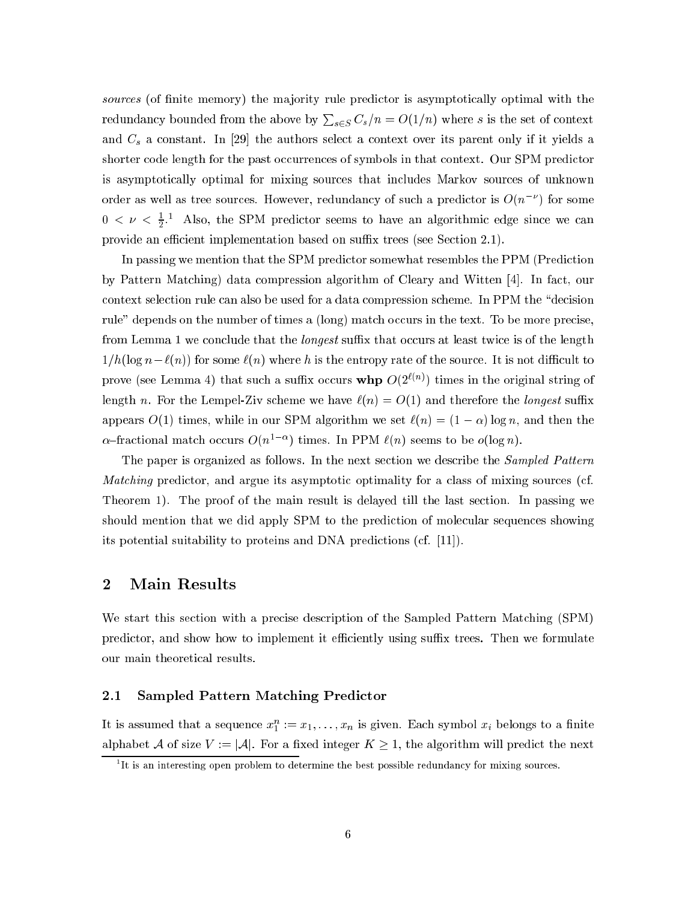sources (of finite memory) the majority rule predictor is asymptotically optimal with the redundancy bounded from the above by  $\sum_{s \in S} C_s/n = O(1/n)$  where s is the set of context and  $C_s$  a constant. In [29] the authors select a context over its parent only if it yields a shorter code length for the past occurrences of symbols in that context. Our SPM predictor is asymptotically optimal for mixing sources that includes Markov sources of unknown order as well as tree sources. However, redundancy of such a predictor is  $O(n^{-\nu})$  for some  $0 < \nu < \frac{1}{2}$ . Also, the SPM predictor seems to have an algorithmic edge since we can provide an efficient implementation based on suffix trees (see Section 2.1).

In passing we mention that the SPM predictor somewhat resembles the PPM (Prediction by Pattern Matching) data compression algorithm of Cleary and Witten [4]. In fact, our context selection rule can also be used for a data compression scheme. In PPM the "decision" rule" depends on the number of times a (long) match occurs in the text. To be more precise, from Lemma 1 we conclude that the *longest* suffix that occurs at least twice is of the length  $1/h(\log n - \ell(n))$  for some  $\ell(n)$  where h is the entropy rate of the source. It is not difficult to prove (see Lemma 4) that such a suffix occurs whp  $O(2^{\ell(n)})$  times in the original string of length n. For the Lempel-Ziv scheme we have  $\ell(n) = O(1)$  and therefore the *longest* suffix appears  $O(1)$  times, while in our SPM algorithm we set  $\ell(n) = (1 - \alpha) \log n$ , and then the  $\alpha$ -fractional match occurs  $O(n^{1-\alpha})$  times. In PPM  $\ell(n)$  seems to be  $o(\log n)$ .

The paper is organized as follows. In the next section we describe the *Sampled Pattern Matching* predictor, and argue its asymptotic optimality for a class of mixing sources (cf. Theorem 1). The proof of the main result is delayed till the last section. In passing we should mention that we did apply SPM to the prediction of molecular sequences showing its potential suitability to proteins and DNA predictions (cf. [11]).

#### $\overline{2}$ **Main Results**

We start this section with a precise description of the Sampled Pattern Matching (SPM) predictor, and show how to implement it efficiently using suffix trees. Then we formulate our main theoretical results.

#### **Sampled Pattern Matching Predictor**  $2.1\,$

It is assumed that a sequence  $x_1^n := x_1, \ldots, x_n$  is given. Each symbol  $x_i$  belongs to a finite alphabet  $\mathcal A$  of size  $V:=|\mathcal A|$ . For a fixed integer  $K\geq 1$ , the algorithm will predict the next

 $1$ It is an interesting open problem to determine the best possible redundancy for mixing sources.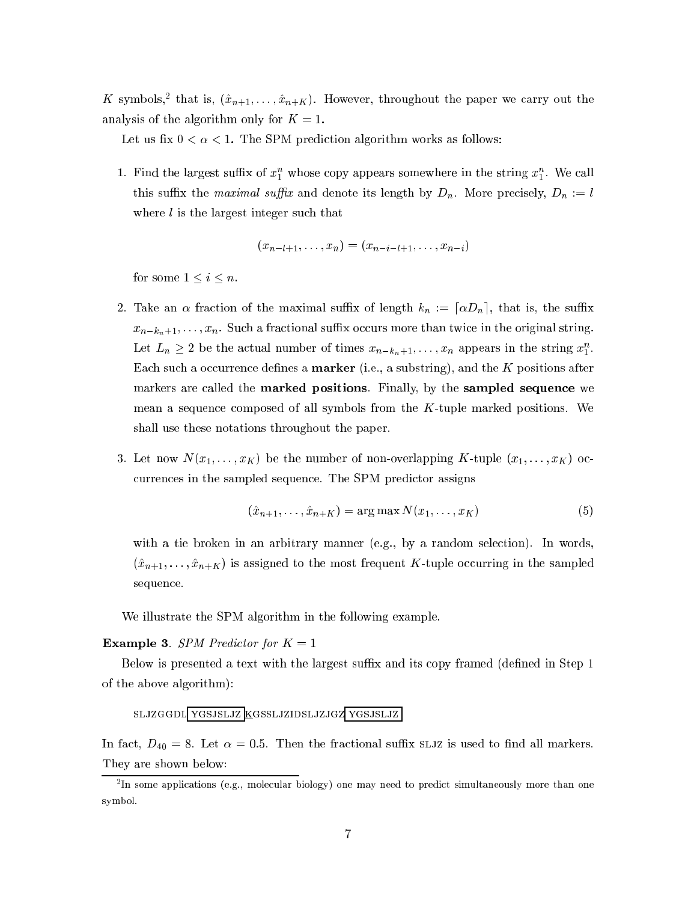K symbols,<sup>2</sup> that is,  $(\hat{x}_{n+1},..., \hat{x}_{n+K})$ . However, throughout the paper we carry out the analysis of the algorithm only for  $K = 1$ .

Let us fix  $0 < \alpha < 1$ . The SPM prediction algorithm works as follows:

1. Find the largest suffix of  $x_1^n$  whose copy appears somewhere in the string  $x_1^n$ . We call this suffix the *maximal suffix* and denote its length by  $D_n$ . More precisely,  $D_n := l$ where  $l$  is the largest integer such that

$$
(x_{n-l+1},\ldots,x_n)=(x_{n-i-l+1},\ldots,x_{n-i})
$$

for some  $1 \leq i \leq n$ .

- 2. Take an  $\alpha$  fraction of the maximal suffix of length  $k_n := [\alpha D_n]$ , that is, the suffix  $x_{n-k_n+1}, \ldots, x_n$ . Such a fractional suffix occurs more than twice in the original string. Let  $L_n \geq 2$  be the actual number of times  $x_{n-k_n+1}, \ldots, x_n$  appears in the string  $x_1^n$ . Each such a occurrence defines a **marker** (i.e., a substring), and the  $K$  positions after markers are called the **marked positions**. Finally, by the **sampled sequence** we mean a sequence composed of all symbols from the  $K$ -tuple marked positions. We shall use these notations throughout the paper.
- 3. Let now  $N(x_1, \ldots, x_K)$  be the number of non-overlapping K-tuple  $(x_1, \ldots, x_K)$  occurrences in the sampled sequence. The SPM predictor assigns

$$
(\hat{x}_{n+1},\ldots,\hat{x}_{n+K}) = \arg\max N(x_1,\ldots,x_K)
$$
\n<sup>(5)</sup>

with a tie broken in an arbitrary manner (e.g., by a random selection). In words,  $(\hat{x}_{n+1},\ldots,\hat{x}_{n+K})$  is assigned to the most frequent K-tuple occurring in the sampled sequence.

We illustrate the SPM algorithm in the following example.

### **Example 3.** SPM Predictor for  $K = 1$

Below is presented a text with the largest suffix and its copy framed (defined in Step 1) of the above algorithm):

### SLJZGGDL YGSJSLJZ KGSSLJZIDSLJZJGZ YGSJSLJZ

In fact,  $D_{40} = 8$ . Let  $\alpha = 0.5$ . Then the fractional suffix SLJZ is used to find all markers. They are shown below:

 ${}^{2}$ In some applications (e.g., molecular biology) one may need to predict simultaneously more than one symbol.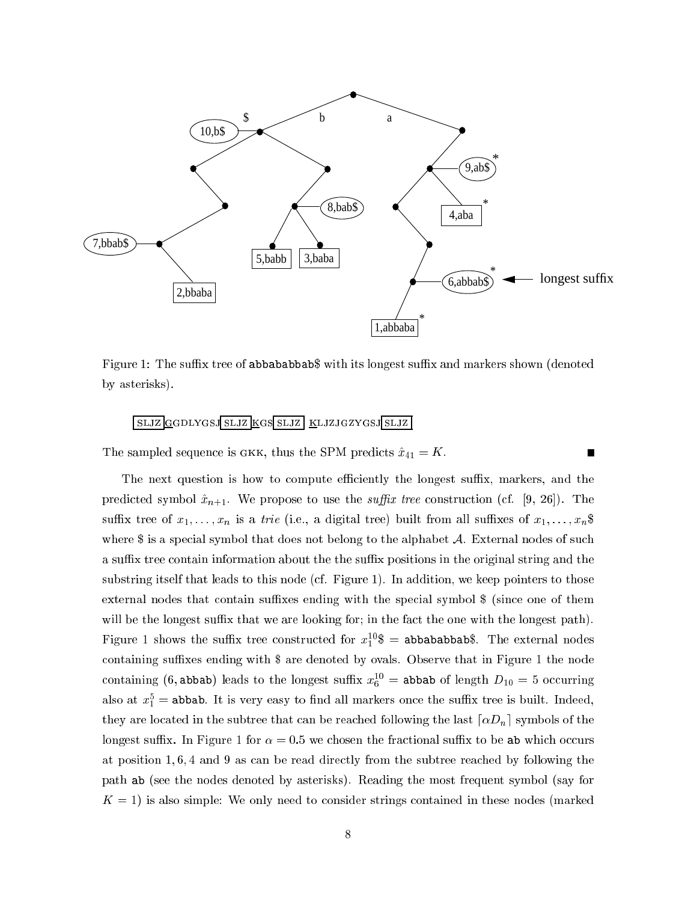

Figure 1: The suffix tree of abbababbab\$ with its longest suffix and markers shown (denoted by asterisks).

## <u>SLJZ GGDLYGSJ SLJZ KGS SLJZ KLJZJGZYGSJ SLJZ</u>

The sampled sequence is GKK, thus the SPM predicts  $\hat{x}_{41} = K$ .

The next question is how to compute efficiently the longest suffix, markers, and the predicted symbol  $\hat{x}_{n+1}$ . We propose to use the *suffix tree* construction (cf. [9, 26]). The suffix tree of  $x_1, \ldots, x_n$  is a *trie* (i.e., a digital tree) built from all suffixes of  $x_1, \ldots, x_n$ \$ where  $\frac{1}{3}$  is a special symbol that does not belong to the alphabet A. External nodes of such a suffix tree contain information about the the suffix positions in the original string and the substring itself that leads to this node (cf. Figure 1). In addition, we keep pointers to those external nodes that contain suffixes ending with the special symbol \$ (since one of them will be the longest suffix that we are looking for; in the fact the one with the longest path). Figure 1 shows the suffix tree constructed for  $x_1^{10}\$  = abbababbab\$. The external nodes containing suffixes ending with \$ are denoted by ovals. Observe that in Figure 1 the node containing (6, abbab) leads to the longest suffix  $x_6^{10}$  = abbab of length  $D_{10} = 5$  occurring also at  $x_1^5$  = abbab. It is very easy to find all markers once the suffix tree is built. Indeed, they are located in the subtree that can be reached following the last  $\lceil \alpha D_n \rceil$  symbols of the longest suffix. In Figure 1 for  $\alpha = 0.5$  we chosen the fractional suffix to be ab which occurs at position 1, 6, 4 and 9 as can be read directly from the subtree reached by following the path ab (see the nodes denoted by asterisks). Reading the most frequent symbol (say for  $K = 1$ ) is also simple: We only need to consider strings contained in these nodes (marked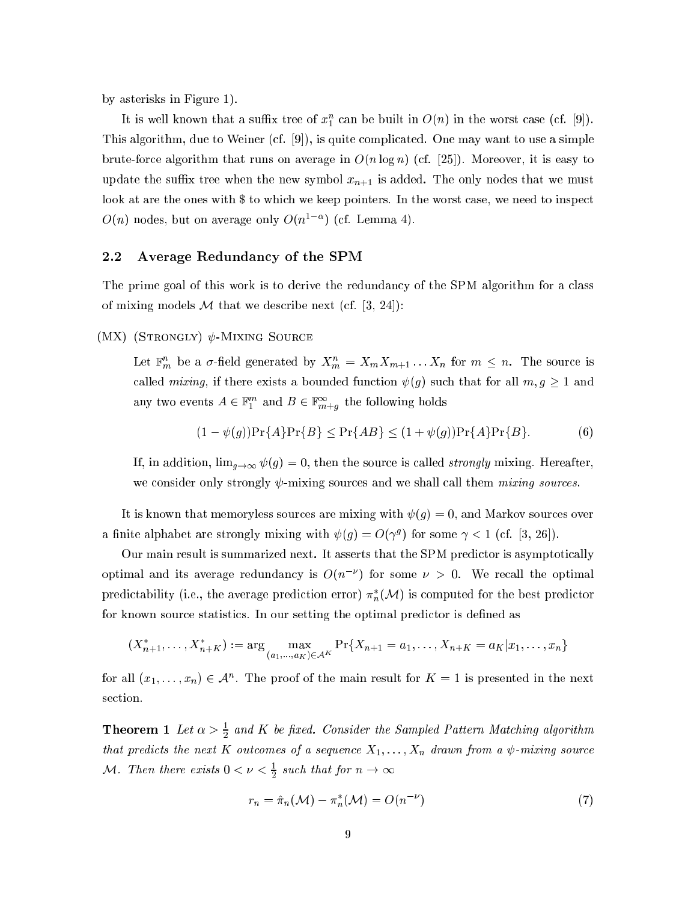by asterisks in Figure 1).

It is well known that a sumx tree of  $x_1$  can be built in  $O(n)$  in the worst case (cf. [9]). This algorithm, due to Weiner  $(cf. [9])$ , is quite complicated. One may want to use a simple brute-force algorithm that runs on average in  $O(n \log n)$  (cf. [25]). Moreover, it is easy to update the suffix tree when the new symbol  $x_{n+1}$  is added. The only nodes that we must look at are the ones with \$ to which we keep pointers. In the worst case, we need to inspect  $O(n)$  nodes, but on average only  $O(n^{1-\epsilon})$  (cf. Lemma 4).

## 2.2 Average Redundan
y of the SPM

The prime goal of this work is to derive the redundancy of the SPM algorithm for a class of mixing models M that we describe next (cf. [3, 24]):

 $(MX)$  (STRONGLY)  $\psi$ -MIXING SOURCE

Let  $\mathbb{F}_m$  be a  $\sigma$ -held generated by  $A_m = A_m A_{m+1} \ldots A_n$  for  $m \leq n$ . The source is called *mixing*, if there exists a bounded function  $\psi(g)$  such that for all  $m, g \ge 1$  and any two events  $A \in \mathbb{F}_1^+$  and  $D \in \mathbb{F}_{m+q}^-$  the following holds

$$
(1 - \psi(g)) \Pr\{A\} \Pr\{B\} \le \Pr\{AB\} \le (1 + \psi(g)) \Pr\{A\} \Pr\{B\}. \tag{6}
$$

If, in addition,  $\lim_{g\to\infty} \psi(g) = 0$ , then the source is called *strongly* mixing. Hereafter, we consider only strongly  $\psi$ -mixing sources and we shall call them *mixing sources*.

It is known that memoryless sources are mixing with  $\psi(g) = 0$ , and Markov sources over a nifice alphabet are strongly mixing with  $\psi(q) = O(\gamma^g)$  for some  $\gamma < 1$  (cf. [3, 20]).

Our main result is summarized next. It asserts that the SPM predictor is asymptotically optimal and its average redundancy is  $O(n+1)$  for some  $\nu > 0$ . We recall the optimal predictability (i.e., the average prediction error)  $\pi_n(\mathcal{M})$  is computed for the best predictor for known source statistics. In our setting the optimal predictor is defined as

$$
(X_{n+1}^*,\ldots,X_{n+K}^*) := \arg\max_{(a_1,\ldots,a_K)\in\mathcal{A}^K} \Pr\{X_{n+1} = a_1,\ldots,X_{n+K} = a_K | x_1,\ldots,x_n\}
$$

for all  $(x_1,\ldots,x_n)\in \mathcal{A}^+$ . The proof of the main result for  $\mathbf{A}=1$  is presented in the next section.

**Theorem 1** Let  $\alpha > \frac{1}{2}$  and K be fixed. Consider the Sampled Pattern Matching algorithm that predicts the next K outcomes of a sequence  $X_1, \ldots, X_n$  drawn from a  $\psi$ -mixing source  $\mathcal{M}$ . Then there exists  $0 \leq \nu \leq \frac{1}{2}$  such that for  $n \to \infty$ 

$$
r_n = \hat{\pi}_n(\mathcal{M}) - \pi_n^*(\mathcal{M}) = O(n^{-\nu})
$$
\n<sup>(7)</sup>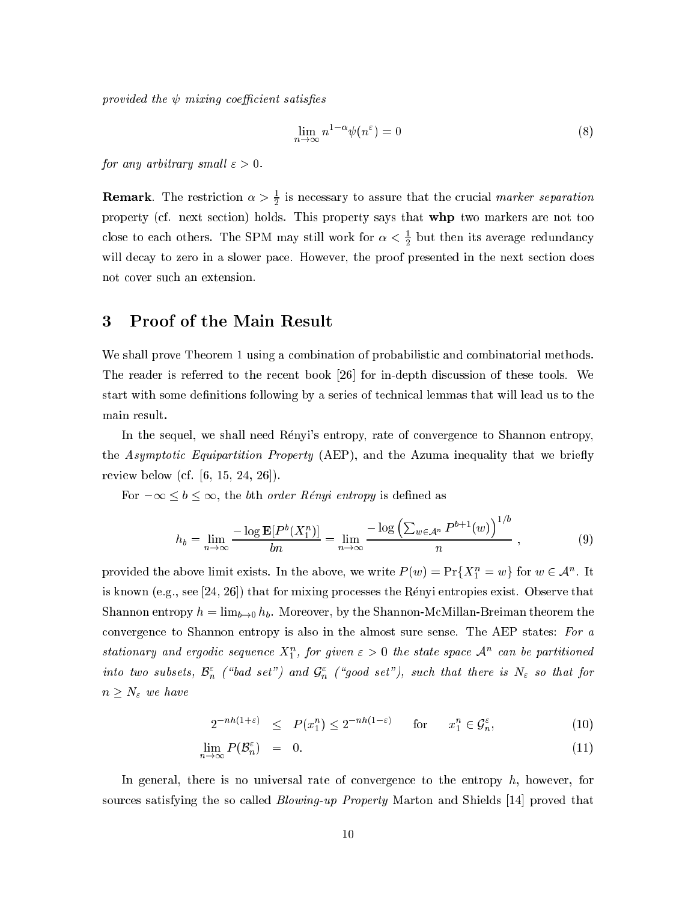provided the  $\psi$  mixing coefficient satisfies

$$
\lim_{n \to \infty} n^{1-\alpha} \psi(n^{\varepsilon}) = 0 \tag{8}
$$

for any arbitrary small  $\varepsilon > 0$ .

**Remark**. The restriction  $\alpha > \frac{1}{2}$  is necessary to assure that the crucial *marker separation* property (cf. next section) holds. This property says that **whp** two markers are not too close to each others. The SPM may still work for  $\alpha < \frac{1}{2}$  but then its average redundancy will decay to zero in a slower pace. However, the proof presented in the next section does not over su
h an extension.

# 3 Proof of the Main Result

We shall prove Theorem 1 using a combination of probabilistic and combinatorial methods. The reader is referred to the recent book [26] for in-depth discussion of these tools. We start with some definitions following by a series of technical lemmas that will lead us to the main result.

In the sequel, we shall need Rényi's entropy, rate of convergence to Shannon entropy, the *Asymptotic Equipartition Property* (AEP), and the Azuma inequality that we briefly review below (cf.  $[6, 15, 24, 26]$ ).

For  $-\infty \leq b \leq \infty$ , the bth order Rényi entropy is defined as

$$
h_b = \lim_{n \to \infty} \frac{-\log \mathbf{E}[P^b(X_1^n)]}{bn} = \lim_{n \to \infty} \frac{-\log \left(\sum_{w \in \mathcal{A}^n} P^{b+1}(w)\right)^{1/b}}{n}, \tag{9}
$$

provided the above limit exists. In the above, we write  $P(w) = \Pr\{X_1 = w\}$  for  $w \in A^n$ . It is known (e.g., see  $[24, 26]$ ) that for mixing processes the Rényi entropies exist. Observe that Shannon entropy  $h = \lim_{b \to 0} h_b$ . Moreover, by the Shannon-McMillan-Breiman theorem the convergence to Shannon entropy is also in the almost sure sense. The AEP states: For  $a$ stationary and ergodic sequence  $\Lambda_1$  , for given  $\varepsilon>0$  the state space  ${\mathcal A}$  -can be partitioned into two subsets,  $\mathcal{D}_n$  ( bad set ) and  $\mathcal{G}_n$  ( good set ), such that there is  $\mathcal{N}_\varepsilon$  so that for  $n \geq N_{\varepsilon}$  we have

$$
2^{-nh(1+\varepsilon)} \le P(x_1^n) \le 2^{-nh(1-\varepsilon)} \qquad \text{for} \qquad x_1^n \in \mathcal{G}_n^{\varepsilon}, \tag{10}
$$

$$
\lim_{n \to \infty} P(\mathcal{B}_n^{\varepsilon}) = 0. \tag{11}
$$

In general, there is no universal rate of convergence to the entropy  $h$ , however, for sources satisfying the so called *Blowing-up Property* Marton and Shields [14] proved that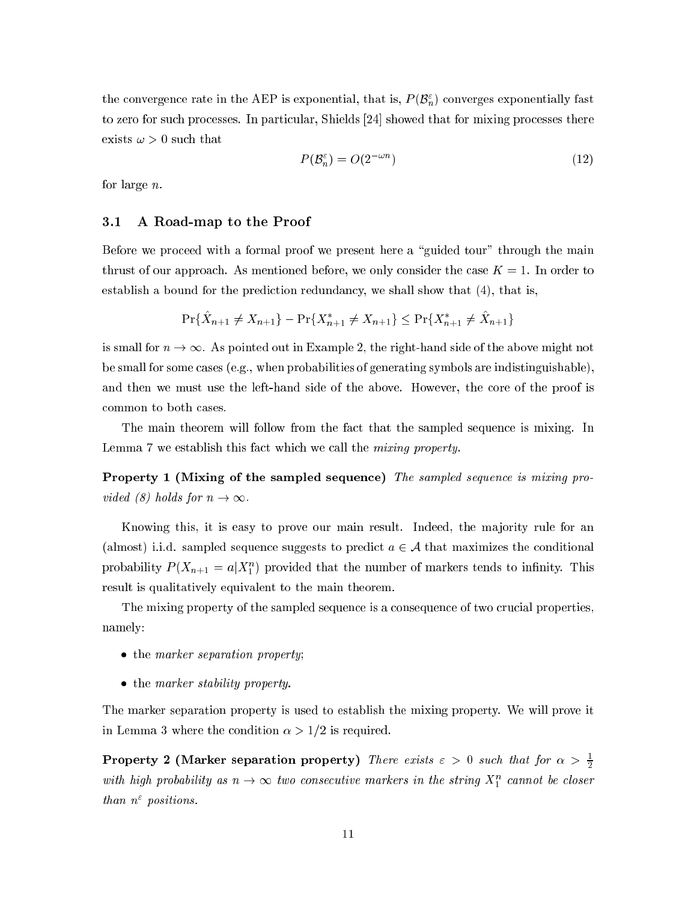the convergence rate in the AEP is exponential, that is,  $F(\mathcal{D}_n)$  converges exponentially fast to zero for such processes. In particular, Shields [24] showed that for mixing processes there exists  $\omega > 0$  such that

$$
P(\mathcal{B}_n^{\varepsilon}) = O(2^{-\omega n})\tag{12}
$$

for large n.

#### 3.1 A Road-map to the Proof  $3.1$

Before we proceed with a formal proof we present here a "guided tour" through the main thrust of our approach. As mentioned before, we only consider the case  $K = 1$ . In order to establish a bound for the prediction redundancy, we shall show that  $(4)$ , that is,

$$
\Pr\{X_{n+1} \neq X_{n+1}\} - \Pr\{X_{n+1}^* \neq X_{n+1}\} \leq \Pr\{X_{n+1}^* \neq X_{n+1}\}\
$$

is small for  $n \to \infty$ . As pointed out in Example 2, the right-hand side of the above might not be small for some ases (e.g., when probabilities of generating symbols are indistinguishable), and then we must use the left-hand side of the above. However, the core of the proof is ommon to both ases.

The main theorem will follow from the fact that the sampled sequence is mixing. In Lemma 7 we establish this fact which we call the *mixing property*.

Property 1 (Mixing of the sampled sequence) The sampled sequence is mixing provided (8) holds for  $n \to \infty$ .

Knowing this, it is easy to prove our main result. Indeed, the majority rule for an (almost) i.i.d. sampled sequence suggests to predict  $a \in \mathcal{A}$  that maximizes the conditional probability  $P(\Lambda_{n+1} \equiv a | \Lambda_1)$  provided that the number of markers tends to infinity. This result is qualitatively equivalent to the main theorem.

The mixing property of the sampled sequence is a consequence of two crucial properties, namely:

- the marker separation property;
- the marker stability property.

The marker separation property is used to establish the mixing property. We will prove it in Lemma 3 where the condition  $\alpha > 1/2$  is required.

**Property 2 (Marker separation property)** There exists  $\varepsilon > 0$  such that for  $\alpha > \frac{1}{2}$ with high probability as  $n \to \infty$  two consecutive markers in the string  $X_1^{\cdot}$  cannot be closer than n" positions.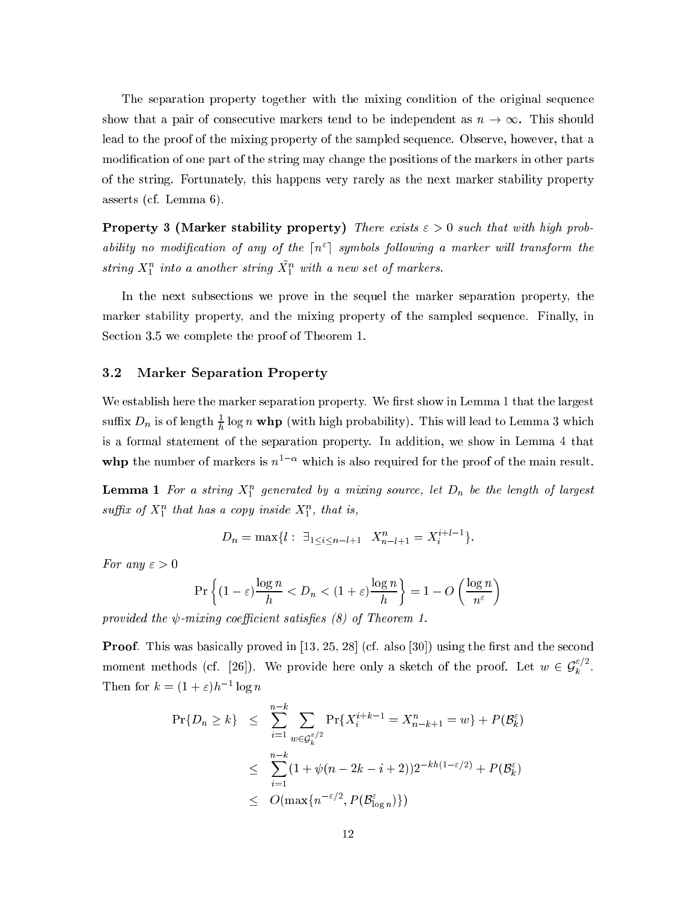The separation property together with the mixing condition of the original sequence show that a pair of consecutive markers tend to be independent as  $n \to \infty$ . This should lead to the proof of the mixing property of the sampled sequen
e. Observe, however, that a modification of one part of the string may change the positions of the markers in other parts of the string. Fortunately, this happens very rarely as the next marker stability property asserts (
f. Lemma 6).

**Property 3 (Marker stability property)** There exists  $\varepsilon > 0$  such that with high prob- ${\it a}$ ourly no modification of any of the  $\{n+1\}$  symbols following a marker will transform the string  $\Lambda_1^-$  into a another string  $\Lambda_1^+$  with a new set of markers.

In the next subse
tions we prove in the sequel the marker separation property, the marker stability property, and the mixing property of the sampled sequen
e. Finally, in Section 3.5 we complete the proof of Theorem 1.

### 3.2 Marker Separation Property

We establish here the marker separation property. We first show in Lemma 1 that the largest sumx  $D_n$  is of length  $\frac{1}{b}$  log n whp (with high probability). This will lead to Lemma 3 which is a formal statement of the separation property. In addition, we show in Lemma 4 that **whp** the number of markers is  $n-1$  which is also required for the proof of the main result.

**Lemma 1** For a string  $\mathbf{x}_1$  generated by a mixing source, tet  $\mathbf{D}_n$  be the tength of targest suffix of  $X_1^+$  that has a copy inside  $X_1^+$ , that is,

$$
D_n = \max\{l : \ \exists_{1 \le i \le n-l+1} \ X_{n-l+1}^n = X_i^{i+l-1}\}.
$$

For any  $\varepsilon > 0$ 

$$
\Pr\left\{(1-\varepsilon)\frac{\log n}{h} < D_n < (1+\varepsilon)\frac{\log n}{h}\right\} = 1 - O\left(\frac{\log n}{n^{\varepsilon}}\right)
$$

provided the  $\psi$ -mixing coefficient satisfies (8) of Theorem 1.

**Proof.** This was basically proved in  $[13, 25, 28]$  (cf. also  $[30]$ ) using the first and the second moment methods (cf. [26]). We provide here only a sketch of the proof. Let  $w \in \mathcal{G}_{\nu}$ <sup>k</sup> . Then for  $\kappa = (1 + \varepsilon)n$  =  $\log n$ 

$$
\Pr\{D_n \ge k\} \le \sum_{i=1}^{n-k} \sum_{w \in \mathcal{G}_k^{\varepsilon/2}} \Pr\{X_i^{i+k-1} = X_{n-k+1}^n = w\} + P(\mathcal{B}_k^{\varepsilon})
$$
  

$$
\le \sum_{i=1}^{n-k} (1 + \psi(n - 2k - i + 2))2^{-kh(1-\varepsilon/2)} + P(\mathcal{B}_k^{\varepsilon})
$$
  

$$
\le O(\max\{n^{-\varepsilon/2}, P(\mathcal{B}_{\log n}^{\varepsilon})\})
$$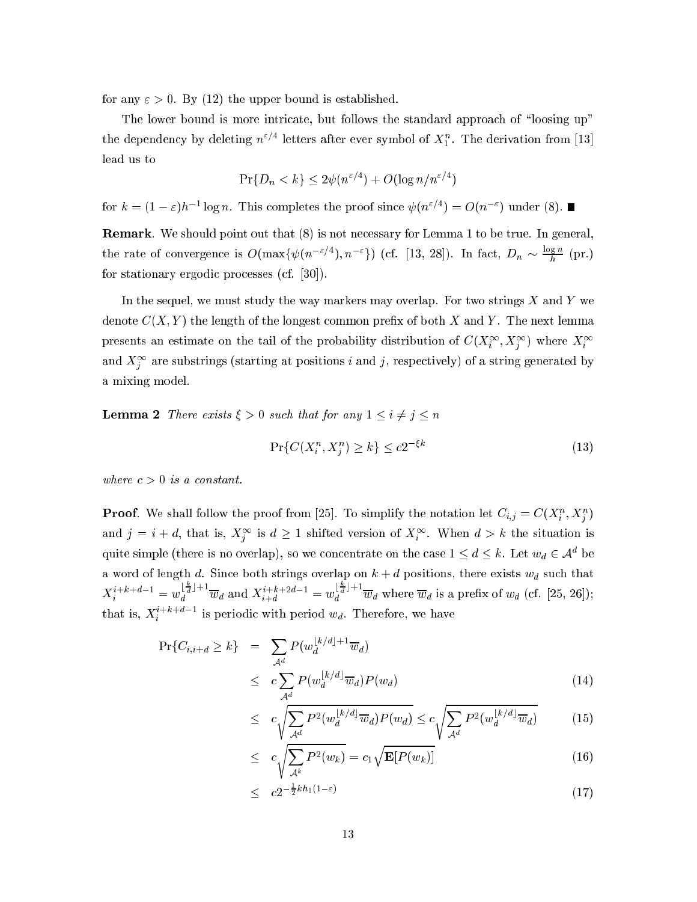for any  $\varepsilon > 0$ . By (12) the upper bound is established.

The lower bound is more intricate, but follows the standard approach of "loosing up" the dependency by deleting  $n \in \mathbb{N}$  retters after ever symbol of  $X_1$ . The derivation from [13]

$$
\Pr\{D_n < k\} \le 2\psi(n^{\varepsilon/4}) + O(\log n/n^{\varepsilon/4})
$$

for  $\kappa = (1 - \varepsilon)n^{-1}$  fog n. This completes the proof since  $\psi(n^{-1}) = O(n^{-1})$  under (8).

Remark. We should point out that (8) is not necessary for Lemma 1 to be true. In general, the rate of convergence is  $O(\max\{\psi(n^{-\epsilon/2}), n^{-\epsilon}\})$  (cf. [13, 28]). In fact,  $D_n \sim \frac{1}{\epsilon}$  (pr.) for stationary ergodic processes  $(cf. [30])$ .

In the sequel, we must study the way markers may overlap. For two strings  $X$  and  $Y$  we denote  $C(X, Y)$  the length of the longest common prefix of both X and Y. The next lemma presents an estimate on the tail of the probability distribution of  $C(X_i^+, X_j^+)$  where  $X_i^+$ and  $\Lambda_i^{\pm}$  are substrings (starting at positions  $i$  and  $j$ , respectively) of a string generated by a mixing model.

**Lemma 2** There exists  $\xi > 0$  such that for any  $1 \leq i \neq j \leq n$ 

$$
\Pr\{C(X_i^n, X_j^n) \ge k\} \le c2^{-\xi k} \tag{13}
$$

where  $c > 0$  is a constant.

**Proof.** We shall follow the proof from [25]. To simplify the notation let  $C_{i,j} \equiv C(X_i, X_j)$ and  $j = i + a$ , that is,  $\Lambda_i^j$  is  $a \ge 1$  shifted version of  $\Lambda_i^j$ . When  $a > \kappa$  the situation is quite simple (there is no overlap), so we concentrate on the case  $1 \le a \le \kappa$ . Let  $w_d \in \mathcal{A}$  be a word of length d. Since both strings overlap on  $k + d$  positions, there exists  $w_d$  such that  $X_i^{i+k+d-1} = w_d^{\lfloor \frac{n}{d} \rfloor + 1} \overline{w}_d$  and  $X_{i+d}^{i+k+2d-1} = w_d^{\lfloor \frac{n}{d} \rfloor + 1} \overline{w}_d$  where  $\overline{w}_d$  is a prefix of  $w_d$  (cf. [25, 26]); that is,  $X_i$  is periodic with period  $w_d$ . Therefore, we have

$$
\Pr\{C_{i,i+d} \ge k\} = \sum_{\mathcal{A}^d} P(w_d^{\lfloor k/d \rfloor + 1} \overline{w}_d)
$$
\n
$$
\le c \sum_{\mathcal{A}^d} P(w_d^{\lfloor k/d \rfloor} \overline{w}_d) P(w_d)
$$
\n(14)

$$
\leq c \sqrt{\sum_{\mathcal{A}^d} P^2(w_d^{\lfloor k/d \rfloor} \overline{w}_d) P(w_d)} \leq c \sqrt{\sum_{\mathcal{A}^d} P^2(w_d^{\lfloor k/d \rfloor} \overline{w}_d)} \tag{15}
$$

$$
\leq c \sqrt{\sum_{\mathcal{A}^k} P^2(w_k)} = c_1 \sqrt{\mathbf{E}[P(w_k)]} \tag{16}
$$

$$
\leq c2^{-\frac{1}{2}kh_1(1-\varepsilon)}\tag{17}
$$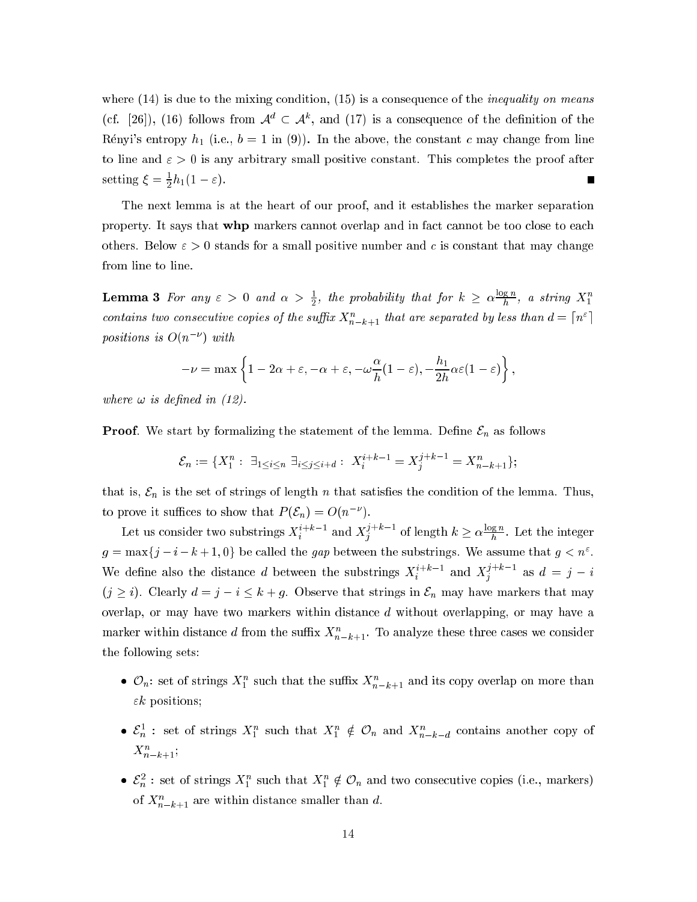where  $(14)$  is due to the mixing condition,  $(15)$  is a consequence of the *inequality on means* (cf. [26]), (16) follows from  $\mathcal{A}^d \subset \mathcal{A}^k$ , and (17) is a consequence of the definition of the Rényi's entropy  $h_1$  (i.e.,  $b = 1$  in (9)). In the above, the constant c may change from line to line and  $\varepsilon > 0$  is any arbitrary small positive constant. This completes the proof after setting  $\xi = \frac{1}{2}h_1(1-\varepsilon)$ . Г

The next lemma is at the heart of our proof, and it establishes the marker separation property. It says that whp markers cannot overlap and in fact cannot be too close to each others. Below  $\varepsilon > 0$  stands for a small positive number and c is constant that may change from line to line.

**Lemma 3** For any  $\varepsilon > 0$  and  $\alpha > \frac{1}{2}$ , the probability that for  $k \ge \alpha \frac{\log n}{h}$ , a string  $X_1^n$ contains two consecutive copies of the suffix  $X_{n-k+1}^n$  that are separated by less than  $d = \lceil n^{\varepsilon} \rceil$ positions is  $O(n^{-\nu})$  with

$$
-\nu = \max\left\{1 - 2\alpha + \varepsilon, -\alpha + \varepsilon, -\omega\frac{\alpha}{h}(1 - \varepsilon), -\frac{h_1}{2h}\alpha\varepsilon(1 - \varepsilon)\right\},\,
$$

where  $\omega$  is defined in (12).

**Proof.** We start by formalizing the statement of the lemma. Define  $\mathcal{E}_n$  as follows

$$
\mathcal{E}_n := \{ X_1^n : \ \exists_{1 \le i \le n} \ \exists_{i \le j \le i+d} : \ X_i^{i+k-1} = X_j^{j+k-1} = X_{n-k+1}^n \};
$$

that is,  $\mathcal{E}_n$  is the set of strings of length *n* that satisfies the condition of the lemma. Thus, to prove it suffices to show that  $P(\mathcal{E}_n) = O(n^{-\nu}).$ 

Let us consider two substrings  $X_i^{i+k-1}$  and  $X_i^{j+k-1}$  of length  $k \ge \alpha \frac{\log n}{h}$ . Let the integer  $g = \max\{j - i - k + 1, 0\}$  be called the gap between the substrings. We assume that  $g < n^{\varepsilon}$ . We define also the distance d between the substrings  $X_i^{i+k-1}$  and  $X_j^{j+k-1}$  as  $d = j - i$  $(j \geq i)$ . Clearly  $d = j - i \leq k + g$ . Observe that strings in  $\mathcal{E}_n$  may have markers that may overlap, or may have two markers within distance  $d$  without overlapping, or may have a marker within distance d from the suffix  $X_{n-k+1}^n$ . To analyze these three cases we consider the following sets:

- $\mathcal{O}_n$ : set of strings  $X_1^n$  such that the suffix  $X_{n-k+1}^n$  and its copy overlap on more than  $\epsilon k$  positions;
- $\mathcal{E}_n^1$ : set of strings  $X_1^n$  such that  $X_1^n \notin \mathcal{O}_n$  and  $X_{n-k-d}^n$  contains another copy of  $X_{n-k+1}^n$
- $\mathcal{E}_n^2$ : set of strings  $X_1^n$  such that  $X_1^n \notin \mathcal{O}_n$  and two consecutive copies (i.e., markers) of  $X_{n-k+1}^n$  are within distance smaller than d.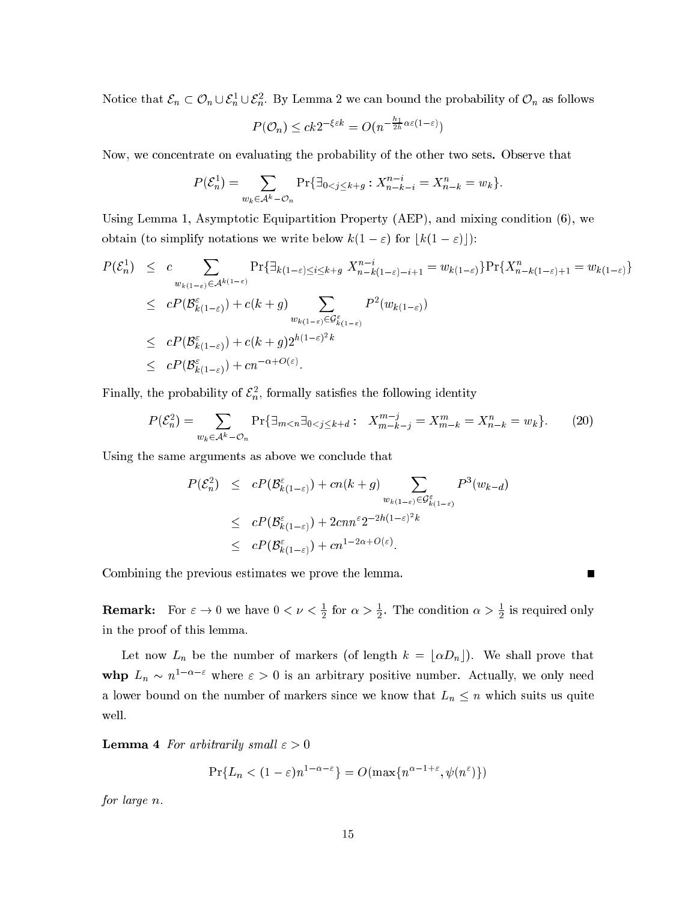Notice that  $\varepsilon_n\subset U_n\cup \varepsilon_n\cup \varepsilon_n.$  By Lemma 2 we can bound the probability of  $U_n$  as follows

$$
P(\mathcal{O}_n) \le ck2^{-\xi\varepsilon k} = O(n^{-\frac{h_1}{2h}\alpha\varepsilon(1-\varepsilon)})
$$

Now, we on
entrate on evaluating the probability of the other two sets. Observe that

$$
P(\mathcal{E}_n^1) = \sum_{w_k \in \mathcal{A}^k - \mathcal{O}_n} \Pr{\exists_{0 < j \le k + g} : X_{n-k-i}^{n-i} = X_{n-k}^n = w_k}.
$$

Using Lemma 1, Asymptotic Equipartition Property (AEP), and mixing condition (6), we obtain (to simplify notations we write below  $k(1 - \varepsilon)$  for  $k(1 - \varepsilon)$ ):

$$
P(\mathcal{E}_n^1) \leq c \sum_{w_{k(1-\varepsilon)} \in \mathcal{A}^{k(1-\varepsilon)}} \Pr\{\exists_{k(1-\varepsilon) \leq i \leq k+g} X_{n-k(1-\varepsilon)-i+1}^{n-i} = w_{k(1-\varepsilon)}\} \Pr\{X_{n-k(1-\varepsilon)+1}^n = w_{k(1-\varepsilon)}\}
$$
  
\n
$$
\leq c P(\mathcal{B}_{k(1-\varepsilon)}^{\varepsilon}) + c(k+g) \sum_{w_{k(1-\varepsilon)} \in \mathcal{G}_{k(1-\varepsilon)}^{\varepsilon}} P^2(w_{k(1-\varepsilon)})
$$
  
\n
$$
\leq c P(\mathcal{B}_{k(1-\varepsilon)}^{\varepsilon}) + c(k+g) 2^{h(1-\varepsilon)^2 k}
$$
  
\n
$$
\leq c P(\mathcal{B}_{k(1-\varepsilon)}^{\varepsilon}) + cn^{-\alpha+O(\varepsilon)}.
$$

r many, the probability of  $c_n$ , formally satisfies the following identity

$$
P(\mathcal{E}_n^2) = \sum_{w_k \in \mathcal{A}^k - \mathcal{O}_n} \Pr\{\exists_{m < n} \exists_{0 < j \le k + d} : X_{m-k-j}^{m-j} = X_{m-k}^m = X_{n-k}^n = w_k\}.
$$
\n(20)

Using the same arguments as above we conclude that

$$
P(\mathcal{E}_n^2) \leq cP(\mathcal{B}_{k(1-\varepsilon)}^{\varepsilon}) + cn(k+g) \sum_{w_{k(1-\varepsilon)} \in \mathcal{G}_{k(1-\varepsilon)}^{\varepsilon}} P^3(w_{k-d})
$$
  

$$
\leq cP(\mathcal{B}_{k(1-\varepsilon)}^{\varepsilon}) + 2cnn^{\varepsilon} 2^{-2h(1-\varepsilon)^2 k}
$$
  

$$
\leq cP(\mathcal{B}_{k(1-\varepsilon)}^{\varepsilon}) + cn^{1-2\alpha+O(\varepsilon)}.
$$

Combining the previous estimates we prove the lemma.

 $\blacksquare$ 

**Remark:** For  $\varepsilon \to 0$  we have  $0 < \nu < \frac{1}{2}$  for  $\alpha > \frac{1}{2}$ . The condition  $\alpha > \frac{1}{2}$  is required only in the proof of this lemma.

Let now  $L_n$  be the number of markers (of length  $k = \lfloor \alpha D_n \rfloor$ ). We shall prove that whp  $L_n \sim n$   $^{-}$   $^{-}$  where  $\varepsilon > 0$  is an arbitrary positive number. Actually, we only need a lower bound on the number of markers since we know that  $L_n \leq n$  which suits us quite well.

**Lemma 4** For arbitrarily small  $\varepsilon > 0$ 

$$
\Pr\{L_n < (1-\varepsilon)n^{1-\alpha-\varepsilon}\} = O(\max\{n^{\alpha-1+\varepsilon}, \psi(n^{\varepsilon})\})
$$

for large n.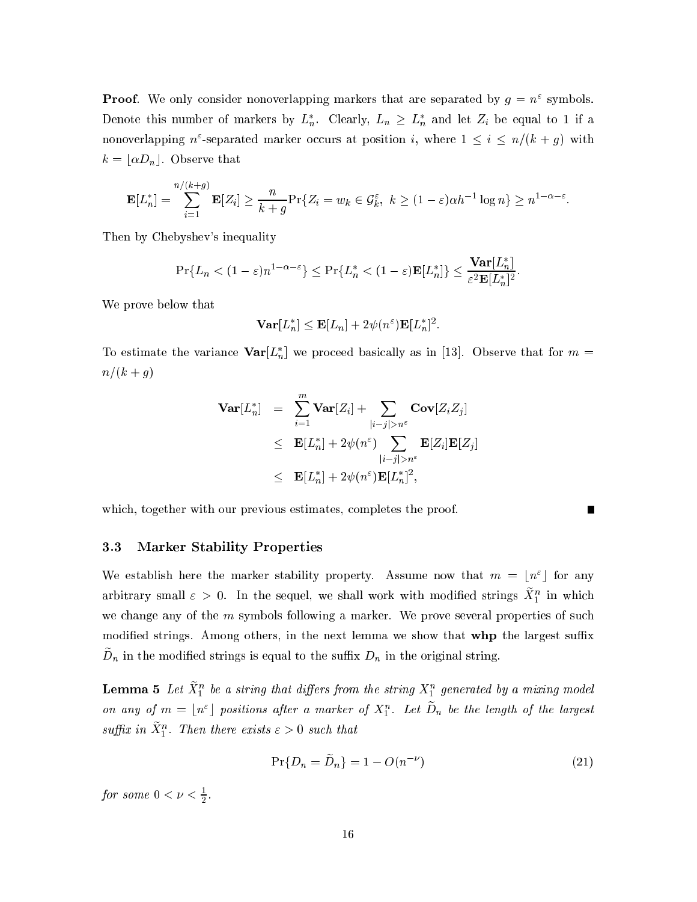**Proof.** We only consider nonoverlapping markers that are separated by  $q = n$  symbols. Denote this number of markers by  $L_n$ . Clearly,  $L_n \ge L_n$  and let  $Z_i$  be equal to 1 if a nonoverlapping  $n$  -separated marker occurs at position  $i$ , where  $1 \leq i \leq n/(\kappa + q)$  with  $k = \lfloor \alpha D_n \rfloor$ . Observe that

$$
\mathbf{E}[L_n^*] = \sum_{i=1}^{n/(k+g)} \mathbf{E}[Z_i] \geq \frac{n}{k+g} \Pr\{Z_i = w_k \in \mathcal{G}_k^{\varepsilon}, \ k \geq (1-\varepsilon)\alpha h^{-1} \log n\} \geq n^{1-\alpha-\varepsilon}.
$$

Then by Chebyshev's inequality

$$
\Pr\{L_n < (1-\varepsilon)n^{1-\alpha-\varepsilon}\} \le \Pr\{L_n^* < (1-\varepsilon)\mathbf{E}[L_n^*]\} \le \frac{\mathbf{Var}[L_n^*]}{\varepsilon^2 \mathbf{E}[L_n^*]^2}.
$$

We prove below that

$$
\mathbf{Var}[L_n^*] \leq \mathbf{E}[L_n] + 2\psi(n^{\epsilon})\mathbf{E}[L_n^*]^2.
$$

To estimate the variance  $var[L_n]$  we proceed basically as in [15]. Observe that for  $m =$  $n/(k + g)$ 

$$
\begin{array}{lcl} \mathbf{Var}[L_n^*] & = & \displaystyle \sum\limits_{i=1}^m\mathbf{Var}[Z_i] + \sum\limits_{|i-j|>n^\varepsilon}\mathbf{Cov}[Z_iZ_j] \\ & \leq & \mathbf{E}[L_n^*] + 2\psi(n^\varepsilon) \sum\limits_{|i-j|>n^\varepsilon}\mathbf{E}[Z_i]\mathbf{E}[Z_j] \\ & \leq & \mathbf{E}[L_n^*] + 2\psi(n^\varepsilon)\mathbf{E}[L_n^*]^2, \end{array}
$$

whi
h, together with our previous estimates, ompletes the proof.

#### $3.3$ **Marker Stability Properties**

We establish here the marker stability property. Assume now that  $m = |n|$  for any arbitrary small  $\varepsilon > 0$ . In the sequel, we shall work with modified strings  $\Lambda_1$  in which we change any of the m symbols following a marker. We prove several properties of such modified strings. Among others, in the next lemma we show that **whp** the largest suffix  $D_n$  in the modified strings is equal to the sumx  $D_n$  in the original string.

 ${\bf L}$ emma  ${\bf 5}$  Let  $X_1$  be a string that ayjers from the string  $X_1$  generated by a mixing model on any of  $m = \lfloor n \rfloor$  positions after a marker of  $X_1$ . Let  $D_n$  be the length of the largest suffix in  $\Lambda_1$  . Then there exists  $\varepsilon > 0$  such that

$$
\Pr\{D_n = \widetilde{D}_n\} = 1 - O(n^{-\nu})\tag{21}
$$

Г

*for some*  $0 \leq \nu \leq \frac{1}{2}$ .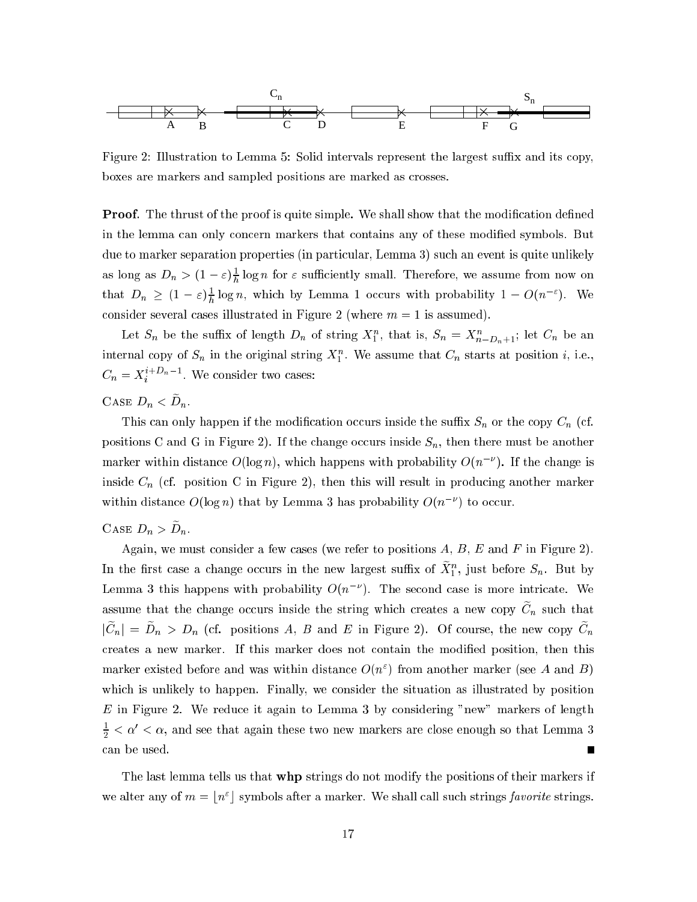

Figure 2: Illustration to Lemma 5: Solid intervals represent the largest suffix and its copy, boxes are markers and sampled positions are marked as rosses.

**Proof.** The thrust of the proof is quite simple. We shall show that the modification defined in the lemma can only concern markers that contains any of these modified symbols. But due to marker separation properties (in particular, Lemma 3) such an event is quite unlikely as long as  $D_n > (1 - \varepsilon)$ <sub>r</sub> log *n* for  $\varepsilon$  sumclently small. Therefore, we assume from now on that  $D_n \geq (1 - \varepsilon)$ <sub>r</sub> log n, which by Lemma 1 occurs with probability  $1 - O(n^{-1})$ . We consider several cases illustrated in Figure 2 (where  $m = 1$  is assumed).

Let  $S_n$  be the sumx of length  $D_n$  of string  $\Lambda_1$ , that is,  $S_n = \Lambda_{n-D_n+1}$ ; let  $C_n$  be an internal copy of  $S_n$  in the original string  $A_1$  . We assume that  $C_n$  starts at position  $i$ , i.e.,  $C_n = \overline{X}_i$   $\cdots$   $\cdots$  We consider two cases:

CASE  $\mathcal{D}_n \setminus \mathcal{D}_n$ .

This can only happen if the modification occurs inside the suffix  $S_n$  or the copy  $C_n$  (cf. positions C and G in Figure 2). If the change occurs inside  $S_n$ , then there must be another marker within distance  $O(\log n)$ , which happens with probability  $O(n-)$ . If the change is inside  $C_n$  (cf. position C in Figure 2), then this will result in producing another marker within distance  $O(\log n)$  that by Lemma 3 has probability  $O(n-1)$  to occur.

### CASE  $\mathcal{D}_n > \mathcal{D}_n$ .

Again, we must consider a few cases (we refer to positions  $A, B, E$  and  $F$  in Figure 2). In the first case a change occurs in the new largest sumx of  $X_1^c$ , just before  $S_n$ . But by Lemma  $\beta$  this happens with probability  $O(n-1)$ . The second case is more intricate. We assume that the change occurs inside the string which creates a new copy  $C_n$  such that  $|C_n| - D_n > D_n$  (cf. positions A, D and E in Figure 2). Of course, the new copy  $C_n$ reates a new marker. If this marker does not ontain the modied position, then this marker existed before and was within distance  $O(n_\parallel)$  from another marker (see A and B). which is unlikely to happen. Finally, we consider the situation as illustrated by position E in Figure 2. We reduce it again to Lemma 3 by considering "new" markers of length  $\frac{1}{2} < \alpha < \alpha,$  and see that again these two new markers are close enough so that Lemma 3 an be used.

The last lemma tells us that **whp** strings do not modify the positions of their markers if we arter any of  $m = |n|$  isymbols after a marker. We shall call such strings *favorite* strings.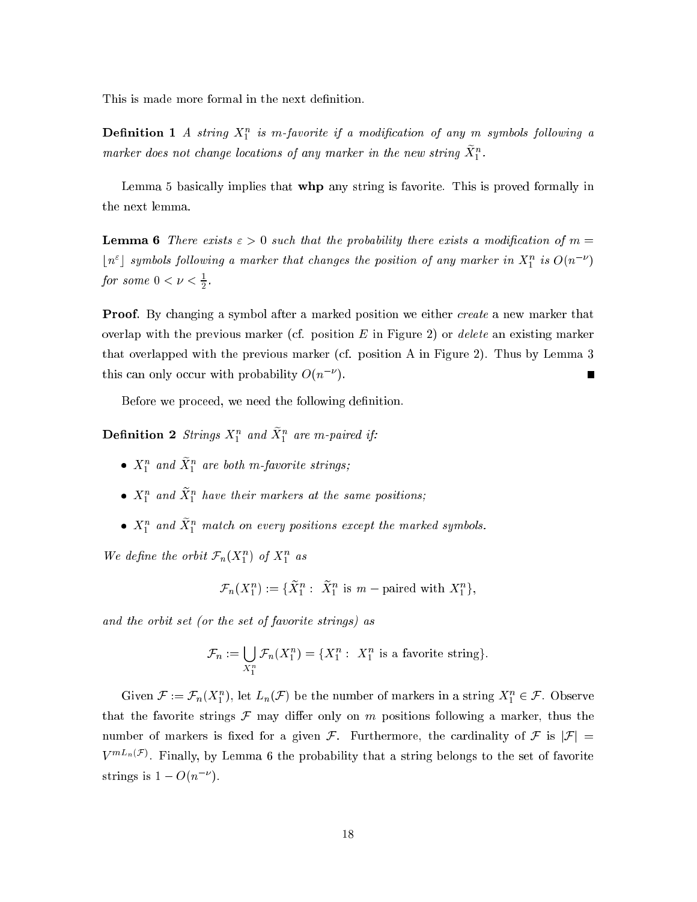This is made more formal in the next definition.

**Definition 1** A string  $X_1$  is in-javorite if a modification of any in symbols following a marker aoes not change tocations of any marker in the new string  $\scriptstyle \mathcal{A}_1$  .

Lemma 5 basically implies that **whp** any string is favorite. This is proved formally in the next lemma.

**Lemma 6** There exists  $\varepsilon > 0$  such that the probability there exists a modification of  $m =$  $\lceil n \rceil$  symbols following a marker that changes the position of any marker in  $X_1^*$  is  $O(n-1)$ *for some*  $0 \leq \nu \leq \frac{1}{2}$ .

**Proof.** By changing a symbol after a marked position we either *create* a new marker that overlap with the previous marker (cf. position  $E$  in Figure 2) or *delete* an existing marker that overlapped with the previous marker (
f. position A in Figure 2). Thus by Lemma 3 this can only occur with probability  $O(n-1)$ .

Before we proceed, we need the following definition.

**Demition** 2 strings  $A_1$  and  $A_1$  are in-paired if:

- $\bullet$   $\Lambda_1$  and  $\Lambda_1$  are both m-favorite strings;
- $\mathbf{A}_1$  and  $\mathbf{A}_1$  nave their markers at the same positions;
- $\bullet$   $\Lambda_1^+$  and  $\Lambda_1^+$  match on every positions except the marked symbols.

We define the orbit  $\mathcal{F}_n(\Lambda_1^+)$  of  $\Lambda_1^+$  as

$$
\mathcal{F}_n(X_1^n) := \{ \widetilde{X}_1^n : \ \widetilde{X}_1^n \text{ is } m-\text{paired with } X_1^n \},
$$

and the orbit set (or the set of favorite strings) as

$$
\mathcal{F}_n := \bigcup_{X_1^n} \mathcal{F}_n(X_1^n) = \{X_1^n : X_1^n \text{ is a favorite string}\}.
$$

Given  $\mathcal{F} := \mathcal{F}_n(X_1)$ , let  $L_n(\mathcal{F})$  be the number of markers in a string  $X_1 \in \mathcal{F}$ . Observe that the favorite strings  $\mathcal F$  may differ only on m positions following a marker, thus the number of markers is fixed for a given F. Furthermore, the cardinality of F is  $|\mathcal{F}|$  =  $V^{m+n,v}$ . Finally, by Lemma 6 the probability that a string belongs to the set of favorite strings is  $1 = O(n - \mu)$ .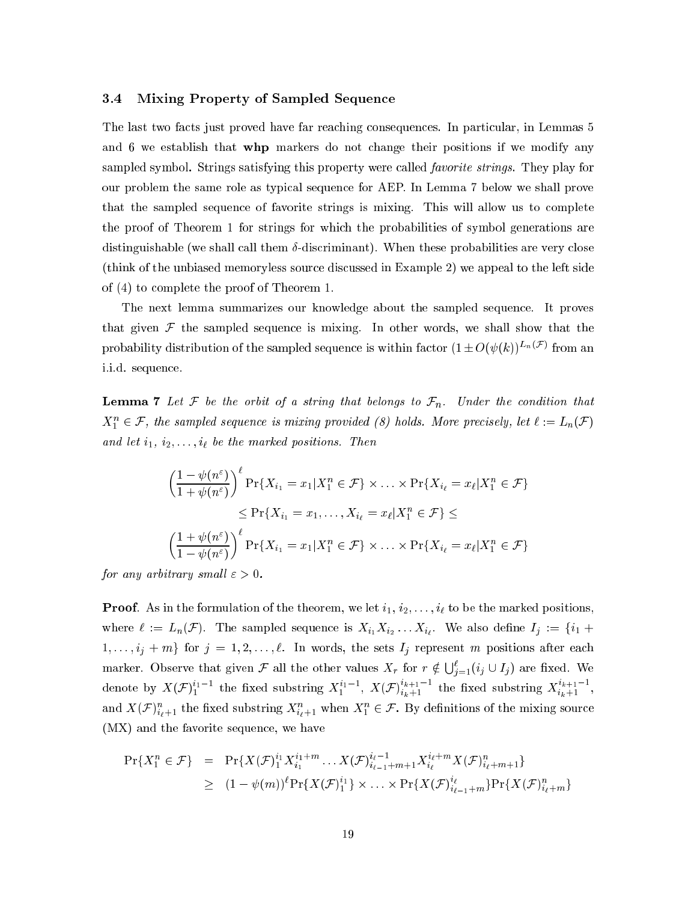#### $3.4$ Mixing Property of Sampled Sequence

The last two facts just proved have far reaching consequences. In particular, in Lemmas 5 and 6 we establish that whp markers do not change their positions if we modify any sampled symbol. Strings satisfying this property were called *favorite strings*. They play for our problem the same role as typical sequence for AEP. In Lemma 7 below we shall prove that the sampled sequence of favorite strings is mixing. This will allow us to complete the proof of Theorem 1 for strings for which the probabilities of symbol generations are distinguishable (we shall call them  $\delta$ -discriminant). When these probabilities are very close (think of the unbiased memoryless source discussed in Example 2) we appeal to the left side of  $(4)$  to complete the proof of Theorem 1.

The next lemma summarizes our knowledge about the sampled sequence. It proves that given  $\mathcal F$  the sampled sequence is mixing. In other words, we shall show that the probability distribution of the sampled sequence is within factor  $(1 \pm O(\psi(k))^{L_n(\mathcal{F})}$  from an i.i.d. sequence.

**Lemma 7** Let F be the orbit of a string that belongs to  $\mathcal{F}_n$ . Under the condition that  $X_1^n \in \mathcal{F}$ , the sampled sequence is mixing provided (8) holds. More precisely, let  $\ell := L_n(\mathcal{F})$ and let  $i_1, i_2, \ldots, i_\ell$  be the marked positions. Then

$$
\left(\frac{1-\psi(n^{\varepsilon})}{1+\psi(n^{\varepsilon})}\right)^{\ell} \Pr\{X_{i_1} = x_1 | X_1^n \in \mathcal{F}\} \times \ldots \times \Pr\{X_{i_\ell} = x_\ell | X_1^n \in \mathcal{F}\}
$$
\n
$$
\leq \Pr\{X_{i_1} = x_1, \ldots, X_{i_\ell} = x_\ell | X_1^n \in \mathcal{F}\} \leq
$$
\n
$$
\left(\frac{1+\psi(n^{\varepsilon})}{1-\psi(n^{\varepsilon})}\right)^{\ell} \Pr\{X_{i_1} = x_1 | X_1^n \in \mathcal{F}\} \times \ldots \times \Pr\{X_{i_\ell} = x_\ell | X_1^n \in \mathcal{F}\}
$$

for any arbitrary small  $\varepsilon > 0$ .

**Proof.** As in the formulation of the theorem, we let  $i_1, i_2, \ldots, i_\ell$  to be the marked positions, where  $\ell := L_n(\mathcal{F})$ . The sampled sequence is  $X_{i_1} X_{i_2} \ldots X_{i_\ell}$ . We also define  $I_j := \{i_1 +$  $1,\ldots,i_j+m$  for  $j=1,2,\ldots,\ell$ . In words, the sets  $I_j$  represent m positions after each marker. Observe that given F all the other values  $X_r$  for  $r \notin \bigcup_{j=1}^{\ell} (i_j \cup I_j)$  are fixed. We denote by  $X(\mathcal{F})_1^{i_1-1}$  the fixed substring  $X_1^{i_1-1}$ ,  $X(\mathcal{F})_{i_k+1}^{i_{k+1}-1}$  the fixed substring  $X_{i_k+1}^{i_{k+1}-1}$ , and  $X(\mathcal{F})_{i_{\ell}+1}^n$  the fixed substring  $X_{i_{\ell}+1}^n$  when  $X_1^n \in \mathcal{F}$ . By definitions of the mixing source  $(MX)$  and the favorite sequence, we have

$$
\Pr\{X_1^n \in \mathcal{F}\} = \Pr\{X(\mathcal{F})_1^{i_1} X_{i_1}^{i_1 + m} \dots X(\mathcal{F})_{i_{\ell-1} + m + 1}^{i_{\ell} + m} X(\mathcal{F})_{i_{\ell} + m + 1}^n\}
$$
\n
$$
\geq (1 - \psi(m))^{\ell} \Pr\{X(\mathcal{F})_1^{i_1}\} \times \dots \times \Pr\{X(\mathcal{F})_{i_{\ell-1} + m}^{i_{\ell} + m}\} \Pr\{X(\mathcal{F})_{i_{\ell} + m}^n\}
$$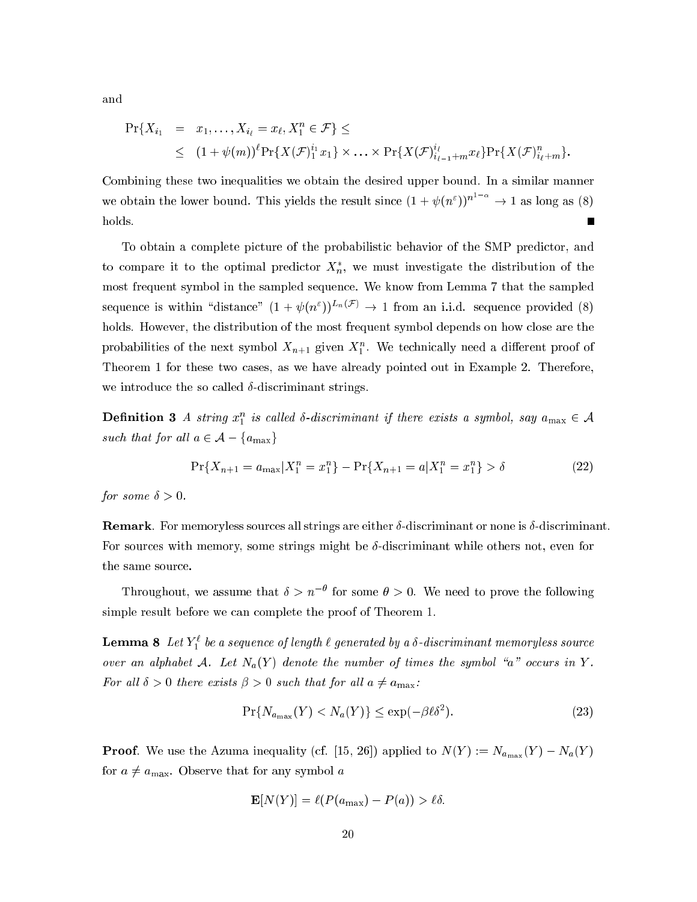and

$$
\Pr\{X_{i_1} = x_1, ..., X_{i_\ell} = x_\ell, X_1^n \in \mathcal{F}\} \le
$$
  
 
$$
\leq (1 + \psi(m))^{\ell} \Pr\{X(\mathcal{F})_1^{i_1} x_1\} \times ... \times \Pr\{X(\mathcal{F})_{i_{\ell-1}+m}^{i_\ell} x_\ell\} \Pr\{X(\mathcal{F})_{i_\ell+m}^n\}
$$

Combining these two inequalities we obtain the desired upper bound. In a similar manner we obtain the lower bound. This yields the result since  $(1 + \psi(n^{\varepsilon}))^{n^{1-\alpha}} \to 1$  as long as (8) holds.  $\blacksquare$ 

To obtain a complete picture of the probabilistic behavior of the SMP predictor, and to compare it to the optimal predictor  $X_n^*$ , we must investigate the distribution of the most frequent symbol in the sampled sequence. We know from Lemma 7 that the sampled sequence is within "distance"  $(1 + \psi(n^{\epsilon}))^{L_n(\mathcal{F})} \rightarrow 1$  from an i.i.d. sequence provided (8) holds. However, the distribution of the most frequent symbol depends on how close are the probabilities of the next symbol  $X_{n+1}$  given  $X_1^n$ . We technically need a different proof of Theorem 1 for these two cases, as we have already pointed out in Example 2. Therefore, we introduce the so called  $\delta$ -discriminant strings.

**Definition 3** A string  $x_1^n$  is called  $\delta$ -discriminant if there exists a symbol, say  $a_{\text{max}} \in \mathcal{A}$ such that for all  $a \in \mathcal{A} - \{a_{\max}\}\$ 

$$
\Pr\{X_{n+1} = a_{\max} | X_1^n = x_1^n \} - \Pr\{X_{n+1} = a | X_1^n = x_1^n \} > \delta
$$
\n(22)

for some  $\delta > 0$ .

**Remark**. For memoryless sources all strings are either  $\delta$ -discriminant or none is  $\delta$ -discriminant. For sources with memory, some strings might be  $\delta$ -discriminant while others not, even for the same source.

Throughout, we assume that  $\delta > n^{-\theta}$  for some  $\theta > 0$ . We need to prove the following simple result before we can complete the proof of Theorem 1.

**Lemma 8** Let  $Y_1^{\ell}$  be a sequence of length  $\ell$  generated by a  $\delta$ -discriminant memoryless source over an alphabet A. Let  $N_a(Y)$  denote the number of times the symbol "a" occurs in Y. For all  $\delta > 0$  there exists  $\beta > 0$  such that for all  $a \neq a_{\text{max}}$ .

$$
\Pr\{N_{a_{\max}}(Y) < N_a(Y)\} \le \exp(-\beta \ell \delta^2). \tag{23}
$$

**Proof.** We use the Azuma inequality (cf. [15, 26]) applied to  $N(Y) := N_{a_{\max}}(Y) - N_a(Y)$ for  $a \neq a_{\text{max}}$ . Observe that for any symbol a

$$
\mathbf{E}[N(Y)] = \ell(P(a_{\max}) - P(a)) > \ell \delta.
$$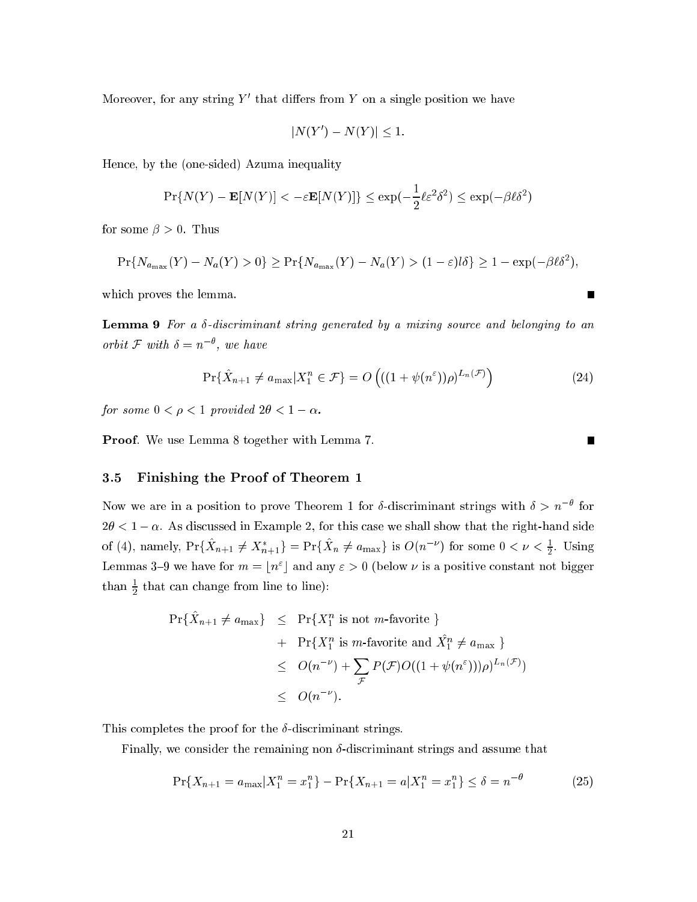Moreover, for any string  $Y$  and differentiation  $Y$  on a single position we have

$$
|N(Y') - N(Y)| \leq 1.
$$

Hen
e, by the (one-sided) Azuma inequality

$$
\Pr\{N(Y) - \mathbf{E}[N(Y)] < -\varepsilon \mathbf{E}[N(Y)]\} \le \exp(-\frac{1}{2}\ell\varepsilon^2\delta^2) \le \exp(-\beta\ell\delta^2)
$$

for some  $\beta > 0$ . Thus

$$
\Pr\{N_{a_{\max}}(Y) - N_a(Y) > 0\} \ge \Pr\{N_{a_{\max}}(Y) - N_a(Y) > (1 - \varepsilon)l\delta\} \ge 1 - \exp(-\beta \ell \delta^2),
$$

which proves the lemma.

**Lemma 9** For a  $\delta$ -discriminant string generated by a mixing source and belonging to an  $\sigma$  or  $\sigma u$ ,  $\sigma$  with  $\sigma = n$ , we have

$$
\Pr\{\hat{X}_{n+1} \neq a_{\max}|X_1^n \in \mathcal{F}\} = O\left(((1 + \psi(n^{\varepsilon}))\rho)^{L_n(\mathcal{F})}\right)
$$
(24)

for some  $0 < \rho < 1$  provided  $2\theta < 1 - \alpha$ .

Proof. We use Lemma 8 together with Lemma 7.

#### $3.5$ 3.5 Finishing the Proof of Theorem 1

Now we are in a position to prove Theorem 1 for 0-discriminant strings with  $0 \geq n-$  for  $2\theta < 1-\alpha$ . As discussed in Example 2, for this case we shall show that the right-hand side of (4), namely,  $Pr{\{X_{n+1} \neq X_{n+1}\}} = Pr{\{X_n \neq a_{\max}\}}$  is  $O(n^{-1})$  for some  $0 < \nu < \frac{1}{2}$ . Using Lemmas 5–9 we have for  $m = |n|$  and any  $\varepsilon > 0$  (below  $\nu$  is a positive constant not bigger  $\tan\, \frac{\pi}{2}$  that can change from line to line):

$$
\begin{array}{rcl}\n\Pr{\hat{X}_{n+1} \neq a_{\max}} & \leq & \Pr{\{X_1^n \text{ is not } m\text{-} \text{favorite }\}} \\
& + & \Pr{\{X_1^n \text{ is } m\text{-} \text{favorite and } \hat{X_1^n} \neq a_{\max}\}} \\
& \leq & O(n^{-\nu}) + \sum_{\mathcal{F}} P(\mathcal{F})O((1 + \psi(n^{\varepsilon})))\rho)^{L_n(\mathcal{F})}) \\
& \leq & O(n^{-\nu}).\n\end{array}
$$

This completes the proof for the  $\delta$ -discriminant strings.

Finally, we consider the remaining non  $\delta$ -discriminant strings and assume that

$$
\Pr\{X_{n+1} = a_{\max}|X_1^n = x_1^n\} - \Pr\{X_{n+1} = a|X_1^n = x_1^n\} \le \delta = n^{-\theta} \tag{25}
$$

Ē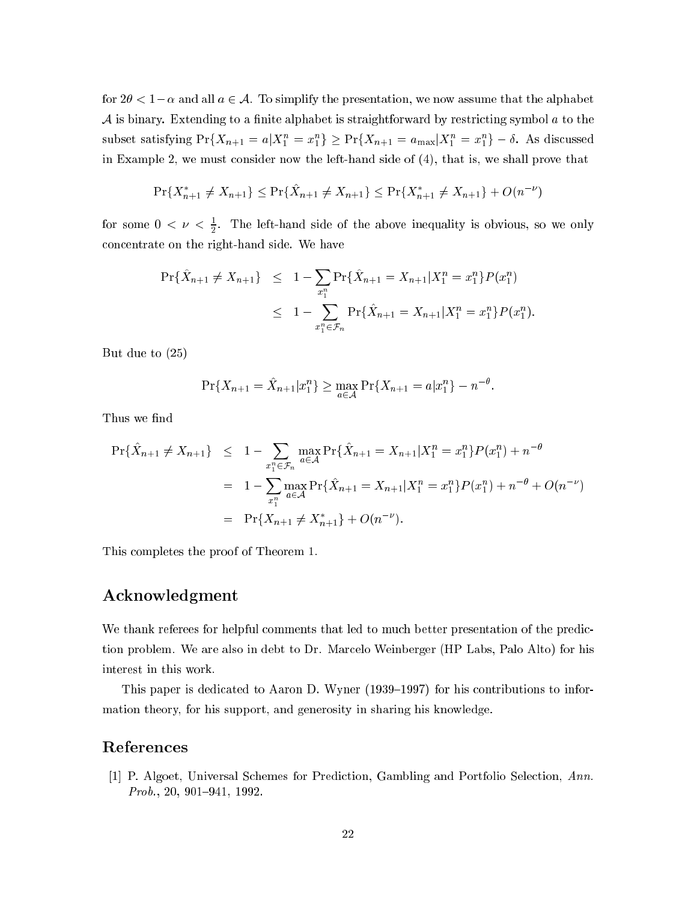for  $2\theta < 1-\alpha$  and all  $a \in \mathcal{A}$ . To simplify the presentation, we now assume that the alphabet A is binary. Extending to a finite alphabet is straightforward by restricting symbol  $a$  to the subset satisfying  $Pr{\{X_{n+1} = a | A_1 = x_1\}} \geq Pr{\{X_{n+1} = a_{\max} | A_1 = x_1\}} = 0$ . As discussed in Example 2, we must onsider now the left-hand side of (4), that is, we shall prove that

$$
\Pr\{X_{n+1}^* \neq X_{n+1}\} \leq \Pr\{\hat{X}_{n+1} \neq X_{n+1}\} \leq \Pr\{X_{n+1}^* \neq X_{n+1}\} + O(n^{-\nu})
$$

for some  $0 < \nu < \frac{1}{2}$ . The left-hand side of the above inequality is obvious, so we only on
entrate on the right-hand side. We have

$$
\begin{array}{rcl}\n\Pr{\{\hat{X}_{n+1} \neq X_{n+1}\}} & \leq & 1 - \sum_{x_1^n} \Pr{\{\hat{X}_{n+1} = X_{n+1} | X_1^n = x_1^n\}} P(x_1^n) \\
& \leq & 1 - \sum_{x_1^n \in \mathcal{F}_n} \Pr{\{\hat{X}_{n+1} = X_{n+1} | X_1^n = x_1^n\}} P(x_1^n).\n\end{array}
$$

But due to (25)

$$
\Pr\{X_{n+1} = \hat{X}_{n+1} | x_1^n\} \ge \max_{a \in \mathcal{A}} \Pr\{X_{n+1} = a | x_1^n\} - n^{-\theta}
$$

Thus we find

$$
\Pr{\hat{X}_{n+1} \neq X_{n+1}} \leq 1 - \sum_{x_1^n \in \mathcal{F}_n} \max_{a \in \mathcal{A}} \Pr{\hat{X}_{n+1} = X_{n+1} | X_1^n = x_1^n} P(x_1^n) + n^{-\theta}
$$
  
= 
$$
1 - \sum_{x_1^n} \max_{a \in \mathcal{A}} \Pr{\hat{X}_{n+1} = X_{n+1} | X_1^n = x_1^n} P(x_1^n) + n^{-\theta} + O(n^{-\nu})
$$
  
= 
$$
\Pr{X_{n+1} \neq X_{n+1}^*} + O(n^{-\nu}).
$$

This ompletes the proof of Theorem 1.

# A
knowledgment

We thank referees for helpful comments that led to much better presentation of the prediction problem. We are also in debt to Dr. Mar
elo Weinberger (HP Labs, Palo Alto) for his interest in this work.

This paper is dedicated to Aaron D. Wyner (1939-1997) for his contributions to information theory, for his support, and generosity in sharing his knowledge.

# Referen
es

[1] P. Algoet, Universal Schemes for Prediction, Gambling and Portfolio Selection, Ann.  $Prob., 20, 901–941, 1992.$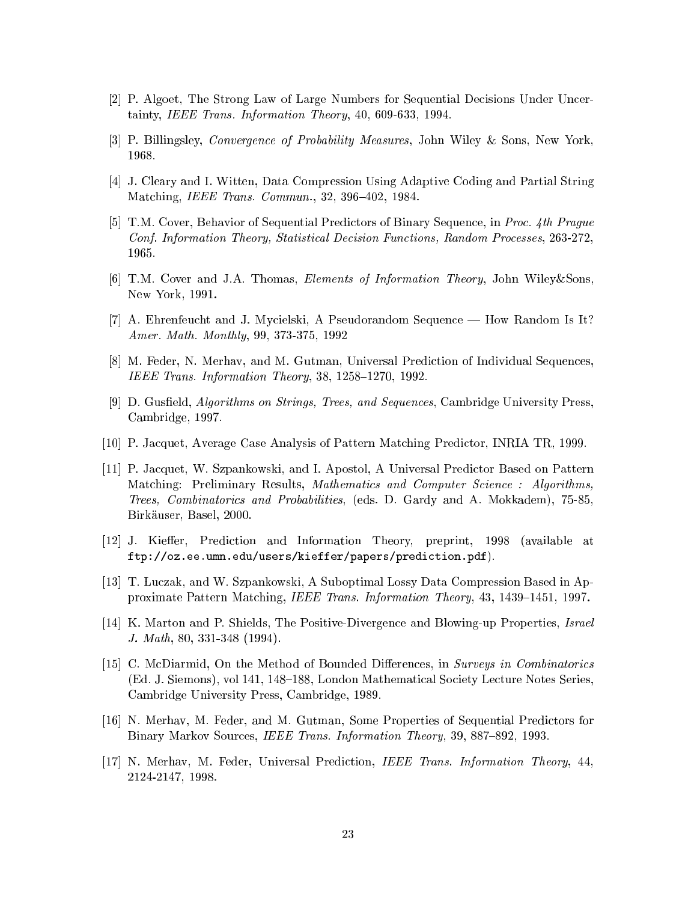- [2] P. Algoet, The Strong Law of Large Numbers for Sequential Decisions Under Uncertainty, IEEE Trans. Information Theory, 40, 609-633, 1994.
- [3] P. Billingsley, *Convergence of Probability Measures*, John Wiley & Sons, New York, 1968.
- [4] J. Cleary and I. Witten, Data Compression Using Adaptive Coding and Partial String Matching, *IEEE Trans. Commun.*, 32, 396-402, 1984.
- [5] T.M. Cover, Behavior of Sequential Predictors of Binary Sequence, in Proc. 4th Prague Conf. Information Theory, Statistical Decision Functions, Random Processes, 263-272, 1965.
- [6] T.M. Cover and J.A. Thomas, *Elements of Information Theory*, John Wiley&Sons. New York, 1991.
- [7] A. Ehrenfeucht and J. Mycielski, A Pseudorandom Sequence How Random Is It? Amer. Math. Monthly, 99, 373-375, 1992
- [8] M. Feder, N. Merhav, and M. Gutman, Universal Prediction of Individual Sequences, IEEE Trans. Information Theory, 38, 1258-1270, 1992.
- [9] D. Gusfield, *Algorithms on Strings*, *Trees, and Sequences*, Cambridge University Press, Cambridge, 1997.
- [10] P. Jacquet, Average Case Analysis of Pattern Matching Predictor, INRIA TR, 1999.
- [11] P. Jacquet, W. Szpankowski, and I. Apostol, A Universal Predictor Based on Pattern Matching: Preliminary Results, Mathematics and Computer Science: Algorithms. *Trees, Combinatorics and Probabilities,* (eds. D. Gardy and A. Mokkadem), 75-85, Birkäuser, Basel, 2000.
- [12] J. Kieffer, Prediction and Information Theory, preprint, 1998 (available at ftp://oz.ee.umn.edu/users/kieffer/papers/prediction.pdf).
- [13] T. Luczak, and W. Szpankowski, A Suboptimal Lossy Data Compression Based in Approximate Pattern Matching, IEEE Trans. Information Theory, 43, 1439–1451, 1997.
- [14] K. Marton and P. Shields, The Positive-Divergence and Blowing-up Properties, Israel J. Math, 80, 331-348 (1994).
- [15] C. McDiarmid, On the Method of Bounded Differences, in Surveys in Combinatorics (Ed. J. Siemons), vol 141, 148–188, London Mathematical Society Lecture Notes Series. Cambridge University Press, Cambridge, 1989.
- [16] N. Merhav, M. Feder, and M. Gutman, Some Properties of Sequential Predictors for Binary Markov Sources, *IEEE Trans. Information Theory*, 39, 887–892, 1993.
- [17] N. Merhav, M. Feder, Universal Prediction, IEEE Trans. Information Theory, 44, 2124-2147, 1998.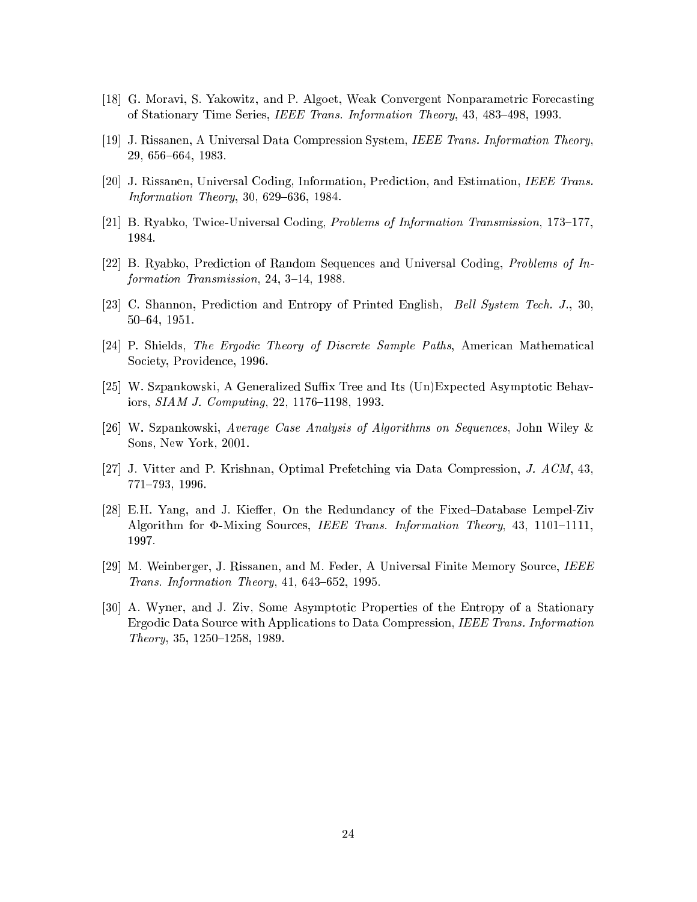- [18] G. Moravi, S. Yakowitz, and P. Algoet, Weak Convergent Nonparametric Forecasting of Stationary Time Series, IEEE Trans. Information Theory, 43, 483-498, 1993.
- [19] J. Rissanen, A Universal Data Compression System, IEEE Trans. Information Theory, 29, 656-664, 1983.
- [20] J. Rissanen, Universal Coding, Information, Prediction, and Estimation, IEEE Trans. *Information Theory*, 30, 629-636, 1984.
- [21] B. Ryabko, Twice-Universal Coding, *Problems of Information Transmission*, 173–177, 1984.
- [22] B. Ryabko, Prediction of Random Sequences and Universal Coding, Problems of Information Transmission, 24, 3-14, 1988.
- [23] C. Shannon, Prediction and Entropy of Printed English, *Bell System Tech. J.*, 30,  $50 - 64$ , 1951.
- [24] P. Shields, The Ergodic Theory of Discrete Sample Paths, American Mathematical Society, Providence, 1996.
- [25] W. Szpankowski, A Generalized Suffix Tree and Its (Un)Expected Asymptotic Behaviors, SIAM J. Computing, 22, 1176-1198, 1993.
- [26] W. Szpankowski, Average Case Analysis of Algorithms on Sequences, John Wiley & Sons, New York, 2001.
- [27] J. Vitter and P. Krishnan, Optimal Prefetching via Data Compression, J.  $ACM$ , 43, 771-793, 1996.
- [28] E.H. Yang, and J. Kieffer, On the Redundancy of the Fixed-Database Lempel-Ziv Algorithm for  $\Phi$ -Mixing Sources, IEEE Trans. Information Theory, 43, 1101-1111, 1997.
- [29] M. Weinberger, J. Rissanen, and M. Feder, A Universal Finite Memory Source, IEEE Trans. Information Theory, 41, 643-652, 1995.
- [30] A. Wyner, and J. Ziv, Some Asymptotic Properties of the Entropy of a Stationary Ergodic Data Source with Applications to Data Compression, IEEE Trans. Information Theory, 35, 1250-1258, 1989.